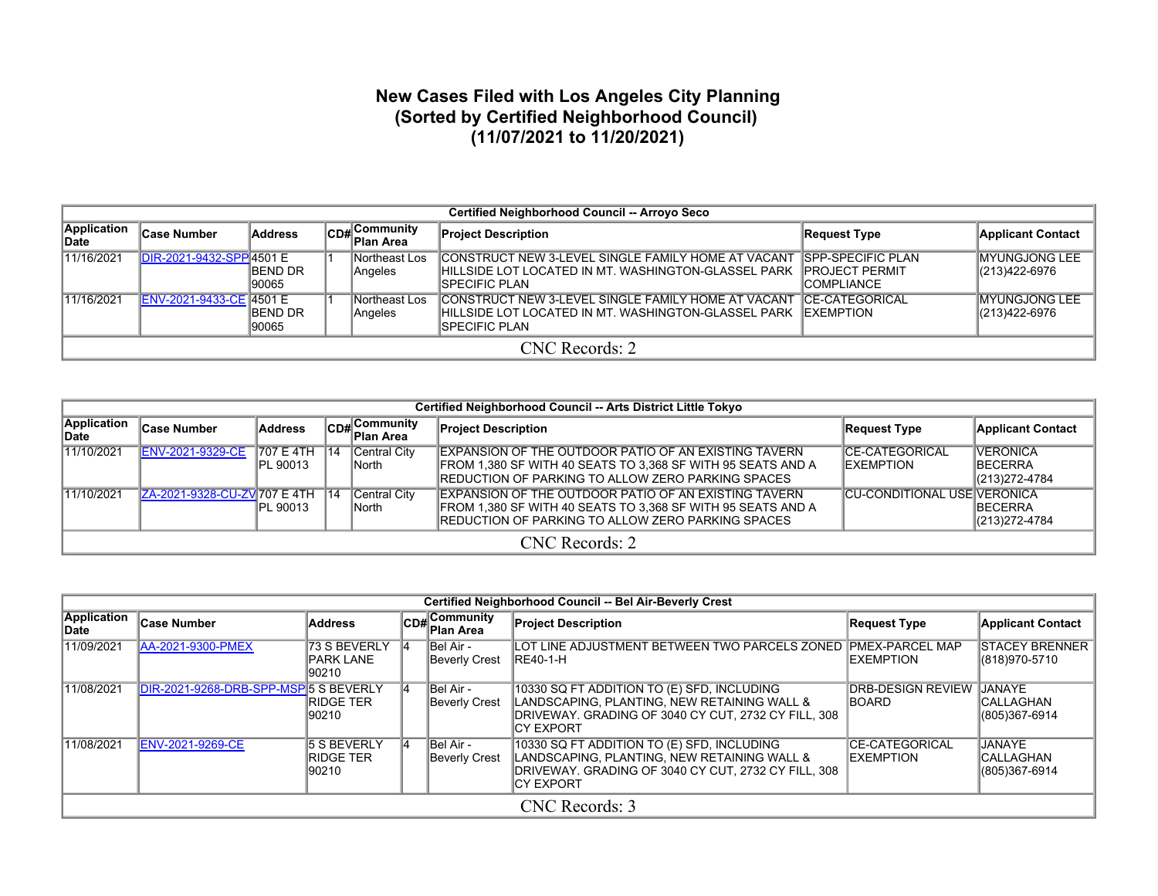## **New Cases Filed with Los Angeles City Planning (Sorted by Certified Neighborhood Council) (11/07/2021 to 11/20/2021)**

|                      | Certified Neighborhood Council -- Arroyo Seco |                           |  |                            |                                                                                                                                                                  |                                                                           |                                        |  |  |  |  |  |  |  |
|----------------------|-----------------------------------------------|---------------------------|--|----------------------------|------------------------------------------------------------------------------------------------------------------------------------------------------------------|---------------------------------------------------------------------------|----------------------------------------|--|--|--|--|--|--|--|
| Application<br>∥Date | <b>Case Number</b>                            | Address                   |  | CD# Community<br>Plan Area | <b>Project Description</b>                                                                                                                                       | <b>Request Type</b>                                                       | <b>Applicant Contact</b>               |  |  |  |  |  |  |  |
| 11/16/2021           | DIR-2021-9432-SPP 4501 E                      | <b>IBEND DR</b><br>190065 |  | Northeast Los<br>Angeles   | CONSTRUCT NEW 3-LEVEL SINGLE FAMILY HOME AT VACANT<br>IHILLSIDE LOT LOCATED IN MT. WASHINGTON-GLASSEL PARK<br><b>ISPECIFIC PLAN</b>                              | <b>ISPP-SPECIFIC PLAN</b><br><b>IPROJECT PERMIT</b><br><b>ICOMPLIANCE</b> | <b>IMYUNGJONG LEE</b><br>(213)422-6976 |  |  |  |  |  |  |  |
| 11/16/2021           | ENV-2021-9433-CE 4501 E                       | <b>IBEND DR</b><br>190065 |  | Northeast Los<br>Angeles   | ICONSTRUCT NEW 3-LEVEL SINGLE FAMILY HOME AT VACANT  ĪCE-CATEGORICAL<br>IHILLSIDE LOT LOCATED IN MT. WASHINGTON-GLASSEL PARK IEXEMPTION<br><b>ISPECIFIC PLAN</b> |                                                                           | IMYUNGJONG LEE<br>(213)422-6976        |  |  |  |  |  |  |  |
|                      | CNC Records: 2                                |                           |  |                            |                                                                                                                                                                  |                                                                           |                                        |  |  |  |  |  |  |  |

|                             | Certified Neighborhood Council -- Arts District Little Tokyo |                                      |         |                        |                                                                                                                                                                                          |                                            |                                                      |  |  |  |  |  |  |
|-----------------------------|--------------------------------------------------------------|--------------------------------------|---------|------------------------|------------------------------------------------------------------------------------------------------------------------------------------------------------------------------------------|--------------------------------------------|------------------------------------------------------|--|--|--|--|--|--|
| Application<br><b>IDate</b> | <b>Case Number</b>                                           | <b>Address</b>                       |         | CD#Community           | <b>Project Description</b>                                                                                                                                                               | <b>Request Type</b>                        | <b>Applicant Contact</b>                             |  |  |  |  |  |  |
| 11/10/2021                  | <b>ENV-2021-9329-CE</b>                                      | <b>707 E 4TH</b><br><b>IPL 90013</b> | $\P$ 14 | Central City<br>∥North | <b>IEXPANSION OF THE OUTDOOR PATIO OF AN EXISTING TAVERN</b><br>FROM 1,380 SF WITH 40 SEATS TO 3,368 SF WITH 95 SEATS AND A<br><b>IREDUCTION OF PARKING TO ALLOW ZERO PARKING SPACES</b> | <b>CE-CATEGORICAL</b><br><b>IEXEMPTION</b> | <b>VERONICA</b><br><b>IBECERRA</b><br>(213) 272-4784 |  |  |  |  |  |  |
| 11/10/2021                  | ZA-2021-9328-CU-ZV 707 E 4TH                                 | <b>IPL 90013</b>                     | $\P$ 14 | Central City<br>∥North | EXPANSION OF THE OUTDOOR PATIO OF AN EXISTING TAVERN<br>FROM 1,380 SF WITH 40 SEATS TO 3,368 SF WITH 95 SEATS AND A<br><b>IREDUCTION OF PARKING TO ALLOW ZERO PARKING SPACES</b>         | <b>CU-CONDITIONAL USE VERONICA</b>         | <b>IBECERRA</b><br>$ (213)272 - 4784$                |  |  |  |  |  |  |
|                             | CNC Records: 2                                               |                                      |         |                        |                                                                                                                                                                                          |                                            |                                                      |  |  |  |  |  |  |

|                      | Certified Neighborhood Council -- Bel Air-Beverly Crest |                                                 |      |                                   |                                                                                                                                                                       |                                             |                                                    |  |  |  |  |  |
|----------------------|---------------------------------------------------------|-------------------------------------------------|------|-----------------------------------|-----------------------------------------------------------------------------------------------------------------------------------------------------------------------|---------------------------------------------|----------------------------------------------------|--|--|--|--|--|
| Application<br>lDate | ∣Case Number                                            | <b>Address</b>                                  | CD#L | , Community<br>∏Plan Area         | <b>Project Description</b>                                                                                                                                            | <b>Request Type</b>                         | <b>Applicant Contact</b>                           |  |  |  |  |  |
| 11/09/2021           | <b>JAA-2021-9300-PMEX</b>                               | 73 S BEVERLY<br><b>PARK LANE</b><br>90210       | 14   | Bel Air -<br>Beverly Crest        | ILOT LINE ADJUSTMENT BETWEEN TWO PARCELS ZONED IPMEX-PARCEL MAP<br><b>RE40-1-H</b>                                                                                    | <b>IEXEMPTION</b>                           | <b>STACEY BRENNER</b><br>(818) 970-5710            |  |  |  |  |  |
| 11/08/2021           | DIR-2021-9268-DRB-SPP-MSP 5 S BEVERLY                   | <b>RIDGE TER</b><br>90210                       | 14   | Bel Air -<br><b>Beverly Crest</b> | 10330 SQ FT ADDITION TO (E) SFD, INCLUDING<br>LANDSCAPING, PLANTING, NEW RETAINING WALL &<br>DRIVEWAY. GRADING OF 3040 CY CUT, 2732 CY FILL, 308<br>ICY EXPORT        | <b>DRB-DESIGN REVIEW</b><br><b>IBOARD</b>   | <b>JANAYE</b><br><b>CALLAGHAN</b><br>(805)367-6914 |  |  |  |  |  |
| 11/08/2021           | <b>ENV-2021-9269-CE</b>                                 | <b>5 S BEVERLY</b><br><b>RIDGE TER</b><br>90210 | 14   | Bel Air -<br><b>Beverly Crest</b> | 10330 SQ FT ADDITION TO (E) SFD, INCLUDING<br>LANDSCAPING, PLANTING, NEW RETAINING WALL &<br>DRIVEWAY. GRADING OF 3040 CY CUT, 2732 CY FILL, 308<br><b>ICY EXPORT</b> | <b>ICE-CATEGORICAL</b><br><b>IEXEMPTION</b> | <b>JANAYE</b><br><b>CALLAGHAN</b><br>(805)367-6914 |  |  |  |  |  |
|                      |                                                         |                                                 |      |                                   | CNC Records: 3                                                                                                                                                        |                                             |                                                    |  |  |  |  |  |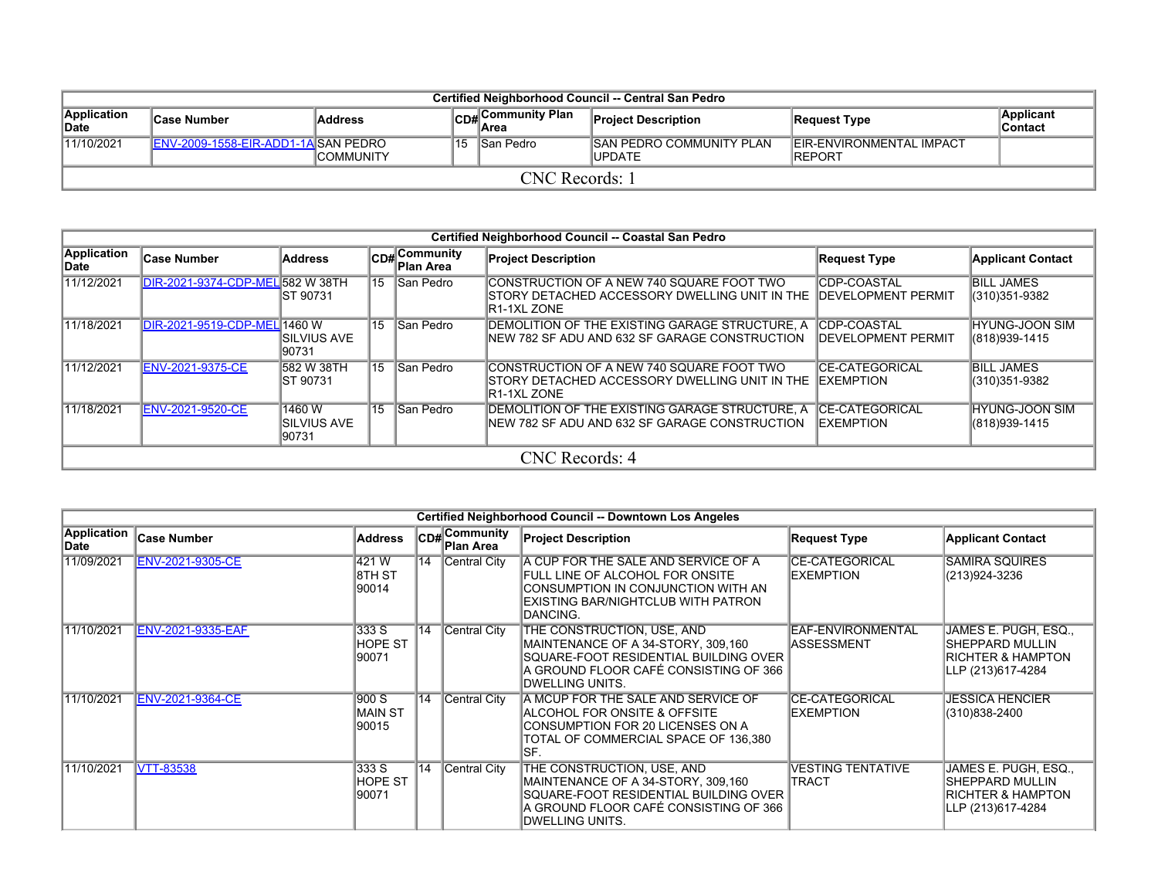|                            | Certified Neighborhood Council -- Central San Pedro |                   |  |                                                |                                            |                                                    |                       |  |  |  |  |  |  |
|----------------------------|-----------------------------------------------------|-------------------|--|------------------------------------------------|--------------------------------------------|----------------------------------------------------|-----------------------|--|--|--|--|--|--|
| Application<br><b>Date</b> | <b>Case Number</b>                                  | <b>Address</b>    |  | <b>Community Plan</b><br>$\overline{CDH}$ Area | <b>Project Description</b>                 | Request Type                                       | Applicant<br>∣Contact |  |  |  |  |  |  |
| 11/10/2021                 | <b>IENV-2009-1558-EIR-ADD1-1AISAN PEDRO</b>         | <b>ICOMMUNITY</b> |  | 115 ISan Pedro                                 | <b>ISAN PEDRO COMMUNITY PLAN</b><br>UPDATE | <b>IEIR-ENVIRONMENTAL IMPACT</b><br><b>IREPORT</b> |                       |  |  |  |  |  |  |
|                            | CNC Records: 1                                      |                   |  |                                                |                                            |                                                    |                       |  |  |  |  |  |  |

|                     | Certified Neighborhood Council -- Coastal San Pedro |                                       |  |                            |                                                                                                             |                                                  |                                         |  |  |  |  |  |  |  |
|---------------------|-----------------------------------------------------|---------------------------------------|--|----------------------------|-------------------------------------------------------------------------------------------------------------|--------------------------------------------------|-----------------------------------------|--|--|--|--|--|--|--|
| Application<br>Date | <b>Case Number</b>                                  | Address                               |  | CD# Community<br>Plan Area | <b>Project Description</b>                                                                                  | <b>Request Type</b>                              | <b>Applicant Contact</b>                |  |  |  |  |  |  |  |
| 11/12/2021          | DIR-2021-9374-CDP-MEL 582 W 38TH                    | <b>IST 90731</b>                      |  | 15 San Pedro               | CONSTRUCTION OF A NEW 740 SQUARE FOOT TWO<br>ISTORY DETACHED ACCESSORY DWELLING UNIT IN THE<br>IR1-1XL ZONE | <b>CDP-COASTAL</b><br><b>IDEVELOPMENT PERMIT</b> | <b>BILL JAMES</b><br>(310) 351-9382     |  |  |  |  |  |  |  |
| 11/18/2021          | DIR-2021-9519-CDP-MEL 1460 W                        | <b>ISILVIUS AVE</b><br>90731          |  | 15 San Pedro               | DEMOLITION OF THE EXISTING GARAGE STRUCTURE, A<br>NEW 782 SF ADU AND 632 SF GARAGE CONSTRUCTION             | <b>CDP-COASTAL</b><br><b>IDEVELOPMENT PERMIT</b> | <b>HYUNG-JOON SIM</b><br>(818) 939-1415 |  |  |  |  |  |  |  |
| 11/12/2021          | <b>ENV-2021-9375-CE</b>                             | 582 W 38TH<br>IST 90731               |  | 15 San Pedro               | CONSTRUCTION OF A NEW 740 SQUARE FOOT TWO<br>ISTORY DETACHED ACCESSORY DWELLING UNIT IN THE<br>IR1-1XL ZONE | <b>CE-CATEGORICAL</b><br><b>IEXEMPTION</b>       | <b>BILL JAMES</b><br>(310) 351-9382     |  |  |  |  |  |  |  |
| 11/18/2021          | ENV-2021-9520-CE                                    | 1460 W<br><b>SILVIUS AVE</b><br>90731 |  | 15 San Pedro               | DEMOLITION OF THE EXISTING GARAGE STRUCTURE, A<br>NEW 782 SF ADU AND 632 SF GARAGE CONSTRUCTION             | <b>CE-CATEGORICAL</b><br><b>EXEMPTION</b>        | <b>HYUNG-JOON SIM</b><br>(818) 939-1415 |  |  |  |  |  |  |  |
|                     |                                                     |                                       |  |                            | CNC Records: 4                                                                                              |                                                  |                                         |  |  |  |  |  |  |  |

|                            | Certified Neighborhood Council -- Downtown Los Angeles |                                  |                 |                                |                                                                                                                                                                        |                                            |                                                                                                      |  |  |  |  |  |  |
|----------------------------|--------------------------------------------------------|----------------------------------|-----------------|--------------------------------|------------------------------------------------------------------------------------------------------------------------------------------------------------------------|--------------------------------------------|------------------------------------------------------------------------------------------------------|--|--|--|--|--|--|
| <b>Application</b><br>Date | <b>Case Number</b>                                     | <b>Address</b>                   | ∣CD#            | ∦Community<br><b>Plan Area</b> | <b>Project Description</b>                                                                                                                                             | <b>Request Type</b>                        | <b>Applicant Contact</b>                                                                             |  |  |  |  |  |  |
| 11/09/2021                 | <b>ENV-2021-9305-CE</b>                                | 421W<br>18TH ST<br>90014         | $ 14\rangle$    | Central City                   | A CUP FOR THE SALE AND SERVICE OF A<br>FULL LINE OF ALCOHOL FOR ONSITE<br>ICONSUMPTION IN CONJUNCTION WITH AN<br>EXISTING BAR/NIGHTCLUB WITH PATRON<br>DANCING.        | <b>CE-CATEGORICAL</b><br><b>IEXEMPTION</b> | <b>SAMIRA SQUIRES</b><br>(213)924-3236                                                               |  |  |  |  |  |  |
| 11/10/2021                 | ENV-2021-9335-EAF                                      | 333 S<br><b>HOPE ST</b><br>90071 | $\overline{14}$ | Central City                   | THE CONSTRUCTION, USE, AND<br>MAINTENANCE OF A 34-STORY, 309,160<br>SQUARE-FOOT RESIDENTIAL BUILDING OVER<br>IA GROUND FLOOR CAFÉ CONSISTING OF 366<br>DWELLING UNITS. | EAF-ENVIRONMENTAL<br>IASSESSMENT           | JAMES E. PUGH, ESQ.,<br><b>ISHEPPARD MULLIN</b><br><b>RICHTER &amp; HAMPTON</b><br>LLP (213)617-4284 |  |  |  |  |  |  |
| 11/10/2021                 | <b>ENV-2021-9364-CE</b>                                | 900 S<br>IMAIN ST<br>90015       | 14              | Central City                   | A MCUP FOR THE SALE AND SERVICE OF<br>IALCOHOL FOR ONSITE & OFFSITE<br>CONSUMPTION FOR 20 LICENSES ON A<br>TOTAL OF COMMERCIAL SPACE OF 136,380<br>ISF.                | <b>CE-CATEGORICAL</b><br><b>EXEMPTION</b>  | <b>JESSICA HENCIER</b><br>(310)838-2400                                                              |  |  |  |  |  |  |
| 11/10/2021                 | <b>VTT-83538</b>                                       | 333 S<br>HOPE ST<br>190071       | $ 14\rangle$    | Central City                   | THE CONSTRUCTION, USE, AND<br>MAINTENANCE OF A 34-STORY, 309,160<br>SQUARE-FOOT RESIDENTIAL BUILDING OVER<br>IA GROUND FLOOR CAFÉ CONSISTING OF 366<br>DWELLING UNITS. | <b>VESTING TENTATIVE</b><br><b>TRACT</b>   | JAMES E. PUGH, ESQ.,<br><b>SHEPPARD MULLIN</b><br><b>RICHTER &amp; HAMPTON</b><br>LLP (213)617-4284  |  |  |  |  |  |  |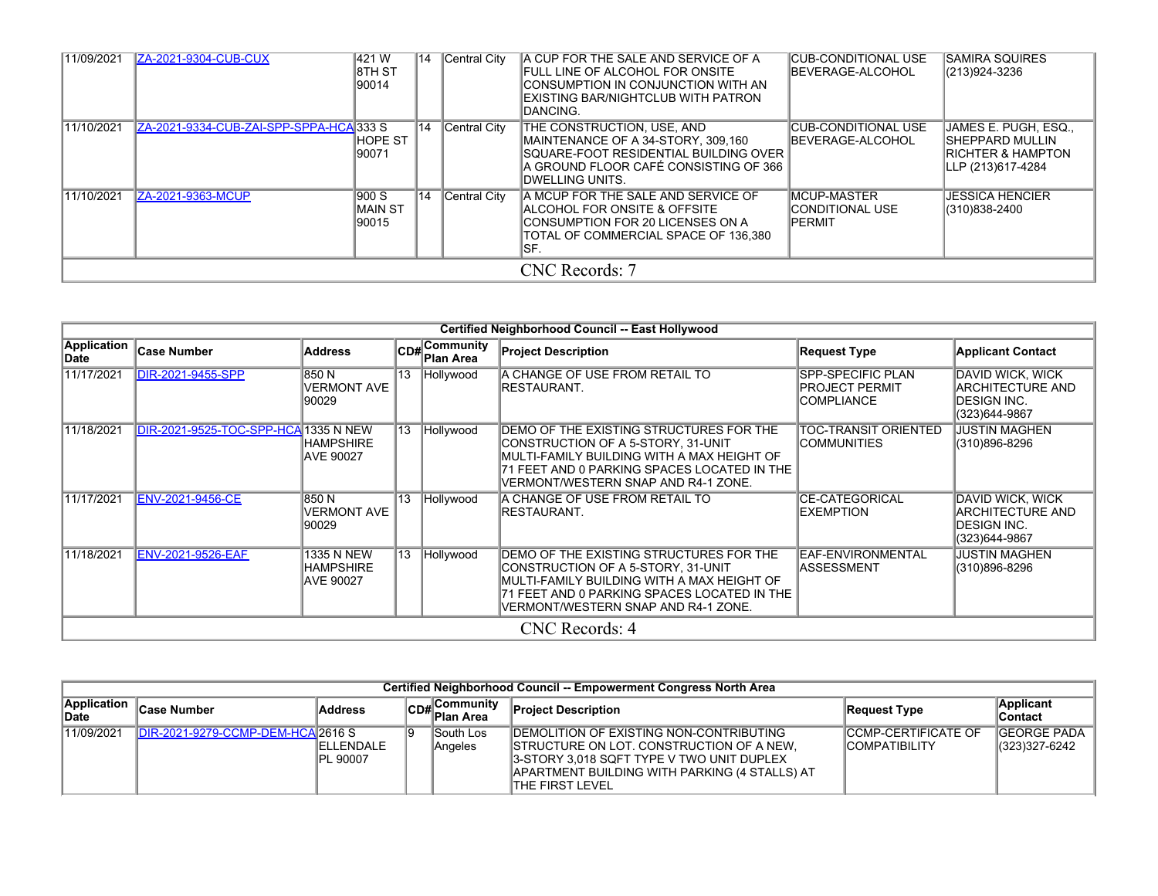| 11/09/2021 | ZA-2021-9304-CUB-CUX                   | 421W<br>18TH ST<br>90014   | 14              | Central City | A CUP FOR THE SALE AND SERVICE OF A<br><b>IFULL LINE OF ALCOHOL FOR ONSITE</b><br>ICONSUMPTION IN CONJUNCTION WITH AN<br>IEXISTING BAR/NIGHTCLUB WITH PATRON<br>IDANCING. | <b>CUB-CONDITIONAL USE</b><br><b>IBEVERAGE-ALCOHOL</b>   | <b>SAMIRA SQUIRES</b><br>(213)924-3236                                                       |
|------------|----------------------------------------|----------------------------|-----------------|--------------|---------------------------------------------------------------------------------------------------------------------------------------------------------------------------|----------------------------------------------------------|----------------------------------------------------------------------------------------------|
| 11/10/2021 | ZA-2021-9334-CUB-ZAI-SPP-SPPA-HCA333 S | HOPE ST<br>90071           | 14              | Central City | THE CONSTRUCTION, USE, AND<br>MAINTENANCE OF A 34-STORY, 309,160<br>SQUARE-FOOT RESIDENTIAL BUILDING OVER<br>A GROUND FLOOR CAFÉ CONSISTING OF 366<br>IDWELLING UNITS.    | ICUB-CONDITIONAL USE<br><b>IBEVERAGE-ALCOHOL</b>         | JAMES E. PUGH. ESQ<br>ISHEPPARD MULLIN<br><b>IRICHTER &amp; HAMPTON</b><br>LLP (213)617-4284 |
| 11/10/2021 | ZA-2021-9363-MCUP                      | 900 S<br>IMAIN ST<br>90015 | $\overline{14}$ | Central City | A MCUP FOR THE SALE AND SERVICE OF<br>IALCOHOL FOR ONSITE & OFFSITE<br>ICONSUMPTION FOR 20 LICENSES ON A<br>ITOTAL OF COMMERCIAL SPACE OF 136.380<br>ISF.                 | <b>MCUP-MASTER</b><br>ICONDITIONAL USE<br><b>IPERMIT</b> | <b>JESSICA HENCIER</b><br>(310)838-2400                                                      |
|            |                                        |                            |                 |              | CNC Records: 7                                                                                                                                                            |                                                          |                                                                                              |

|                             | Certified Neighborhood Council -- East Hollywood |                                      |                 |                             |                                                                                                                                                                                                                            |                                                                         |                                                                       |  |  |  |  |  |  |  |
|-----------------------------|--------------------------------------------------|--------------------------------------|-----------------|-----------------------------|----------------------------------------------------------------------------------------------------------------------------------------------------------------------------------------------------------------------------|-------------------------------------------------------------------------|-----------------------------------------------------------------------|--|--|--|--|--|--|--|
| <b>Application</b><br>∣Date | <b>Case Number</b>                               | <b>Address</b>                       |                 | CD# Community<br>∣Plan Area | <b>Project Description</b>                                                                                                                                                                                                 | <b>Request Type</b>                                                     | <b>Applicant Contact</b>                                              |  |  |  |  |  |  |  |
| 11/17/2021                  | <b>DIR-2021-9455-SPP</b>                         | 850N<br><b>VERMONT AVE</b><br>90029  | 13              | Hollywood                   | A CHANGE OF USE FROM RETAIL TO<br>IRESTAURANT.                                                                                                                                                                             | <b>SPP-SPECIFIC PLAN</b><br><b>PROJECT PERMIT</b><br><b>ICOMPLIANCE</b> | DAVID WICK, WICK<br>ARCHITECTURE AND<br>DESIGN INC.<br>(323)644-9867  |  |  |  |  |  |  |  |
| 11/18/2021                  | DIR-2021-9525-TOC-SPP-HCA 1335 N NEW             | HAMPSHIRE<br>AVE 90027               | $\overline{13}$ | Hollywood                   | <b>IDEMO OF THE EXISTING STRUCTURES FOR THE</b><br>CONSTRUCTION OF A 5-STORY, 31-UNIT<br>IMULTI-FAMILY BUILDING WITH A MAX HEIGHT OF<br>71 FEET AND 0 PARKING SPACES LOCATED IN THE<br>VERMONT/WESTERN SNAP AND R4-1 ZONE. | TOC-TRANSIT ORIENTED<br><b>COMMUNITIES</b>                              | JUSTIN MAGHEN<br>(310)896-8296                                        |  |  |  |  |  |  |  |
| 11/17/2021                  | <b>ENV-2021-9456-CE</b>                          | 850 N<br>VERMONT AVE<br>90029        | 13              | Hollywood                   | IA CHANGE OF USE FROM RETAIL TO<br>IRESTAURANT.                                                                                                                                                                            | ICE-CATEGORICAL<br><b>IEXEMPTION</b>                                    | DAVID WICK, WICK<br>ARCHITECTURE AND<br>IDESIGN INC.<br>(323)644-9867 |  |  |  |  |  |  |  |
| 11/18/2021                  | ENV-2021-9526-EAF                                | 1335 N NEW<br>HAMPSHIRE<br>AVE 90027 | 13              | Hollywood                   | DEMO OF THE EXISTING STRUCTURES FOR THE<br>CONSTRUCTION OF A 5-STORY, 31-UNIT<br>IMULTI-FAMILY BUILDING WITH A MAX HEIGHT OF<br>71 FEET AND 0 PARKING SPACES LOCATED IN THE<br>VERMONT/WESTERN SNAP AND R4-1 ZONE.         | <b>EAF-ENVIRONMENTAL</b><br><b>ASSESSMENT</b>                           | <b>JUSTIN MAGHEN</b><br>(310)896-8296                                 |  |  |  |  |  |  |  |
|                             |                                                  |                                      |                 |                             | CNC Records: 4                                                                                                                                                                                                             |                                                                         |                                                                       |  |  |  |  |  |  |  |

|                      | Certified Neighborhood Council -- Empowerment Congress North Area |                               |  |                                    |                                                                                                                                                                                                                                     |                                                      |                                  |  |  |  |  |  |  |
|----------------------|-------------------------------------------------------------------|-------------------------------|--|------------------------------------|-------------------------------------------------------------------------------------------------------------------------------------------------------------------------------------------------------------------------------------|------------------------------------------------------|----------------------------------|--|--|--|--|--|--|
| Application<br>∥Date | Case Number                                                       | Address                       |  | CD#Community<br>Plan Area          | <b>Project Description</b>                                                                                                                                                                                                          | Request Type                                         | Applicant<br>∣Contact            |  |  |  |  |  |  |
| 11/09/2021           | IDIR-2021-9279-CCMP-DEM-HCA 2616 S                                | <b>IELLENDALE</b><br>PL 90007 |  | <b>South Los</b><br><b>Angeles</b> | <b>IDEMOLITION OF EXISTING NON-CONTRIBUTING</b><br><b>STRUCTURE ON LOT. CONSTRUCTION OF A NEW.</b><br>3-STORY 3,018 SQFT TYPE V TWO UNIT DUPLEX<br><b>JAPARTMENT BUILDING WITH PARKING (4 STALLS) AT</b><br><b>ITHE FIRST LEVEL</b> | <b>ICCMP-CERTIFICATE OF</b><br><b>ICOMPATIBILITY</b> | GEORGE PADA   <br>(323) 327-6242 |  |  |  |  |  |  |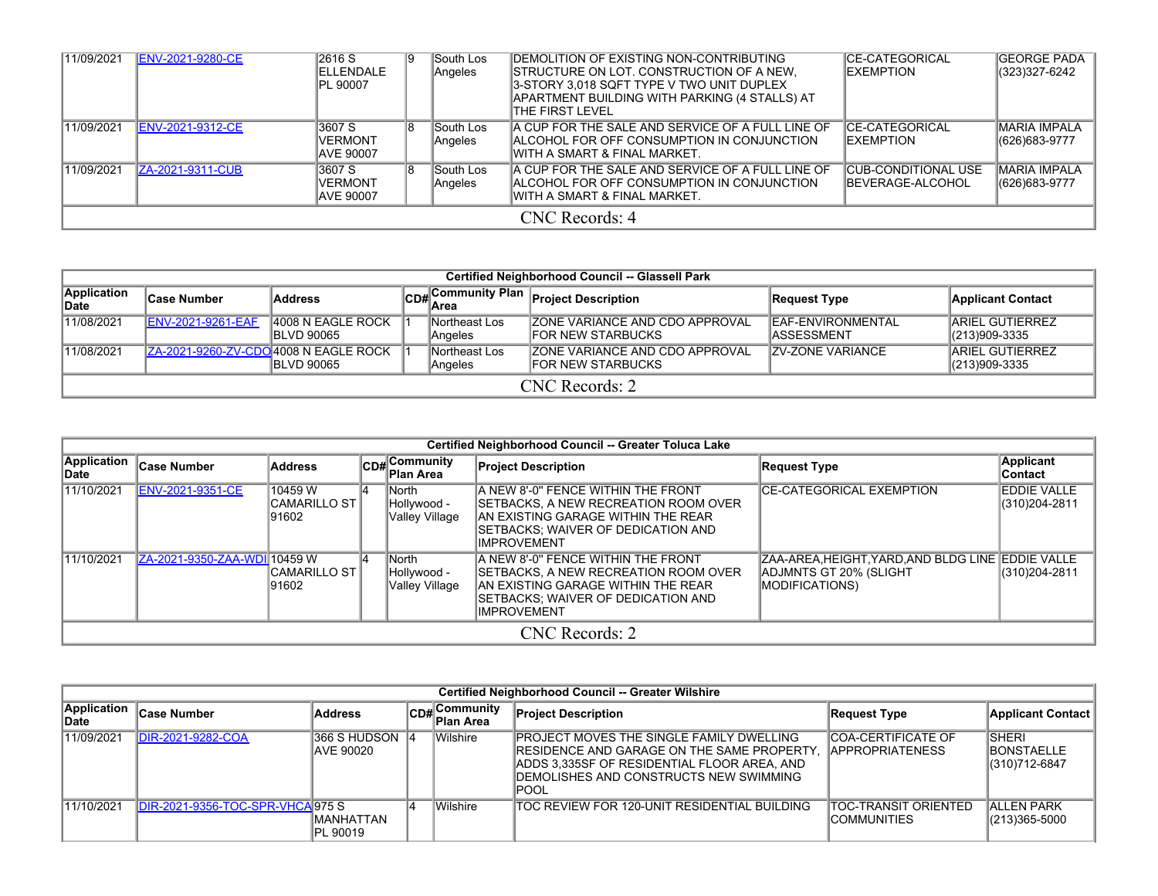| 11/09/2021 | <b>ENV-2021-9280-CE</b> | 2616 S<br><b>IELLENDALE</b><br><b>PL 90007</b> | 19. | South Los<br>Angeles | IDEMOLITION OF EXISTING NON-CONTRIBUTING<br><b>ISTRUCTURE ON LOT. CONSTRUCTION OF A NEW.</b><br>I3-STORY 3.018 SQFT TYPE V TWO UNIT DUPLEX<br>APARTMENT BUILDING WITH PARKING (4 STALLS) AT<br>ITHE FIRST LEVEL | <b>ICE-CATEGORICAL</b><br><b>IEXEMPTION</b>             | IGEORGE PADA<br>(323)327-6242         |  |  |  |
|------------|-------------------------|------------------------------------------------|-----|----------------------|-----------------------------------------------------------------------------------------------------------------------------------------------------------------------------------------------------------------|---------------------------------------------------------|---------------------------------------|--|--|--|
| 11/09/2021 | <b>ENV-2021-9312-CE</b> | 3607 S<br><b>VERMONT</b><br><b>AVE 90007</b>   |     | South Los<br>Angeles | A CUP FOR THE SALE AND SERVICE OF A FULL LINE OF<br>IALCOHOL FOR OFF CONSUMPTION IN CONJUNCTION<br>IWITH A SMART & FINAL MARKET.                                                                                | <b>ICE-CATEGORICAL</b><br><b>IEXEMPTION</b>             | <b>IMARIA IMPALA</b><br>(626)683-9777 |  |  |  |
| 11/09/2021 | <b>ZA-2021-9311-CUB</b> | 3607 S<br><b>VERMONT</b><br><b>AVE 90007</b>   |     | South Los<br>Angeles | IA CUP FOR THE SALE AND SERVICE OF A FULL LINE OF<br>IALCOHOL FOR OFF CONSUMPTION IN CONJUNCTION<br>IWITH A SMART & FINAL MARKET.                                                                               | <b>ICUB-CONDITIONAL USE</b><br><b>IBEVERAGE-ALCOHOL</b> | IMARIA IMPALA<br>(626) 683-9777       |  |  |  |
|            | CNC Records: 4          |                                                |     |                      |                                                                                                                                                                                                                 |                                                         |                                       |  |  |  |

|                      | <b>Certified Neighborhood Council -- Glassell Park</b> |                                         |  |                          |                                                                    |                                                 |                                             |  |  |  |  |
|----------------------|--------------------------------------------------------|-----------------------------------------|--|--------------------------|--------------------------------------------------------------------|-------------------------------------------------|---------------------------------------------|--|--|--|--|
| Application<br>∥Date | <b>Case Number</b>                                     | <b>Address</b>                          |  |                          | CD#Community Plan Project Description                              | <b>Request Type</b>                             | <b>Applicant Contact</b>                    |  |  |  |  |
| 11/08/2021           | <b>ENV-2021-9261-EAF</b>                               | 4008 N EAGLE ROCK<br><b>IBLVD 90065</b> |  | Northeast Los<br>Angeles | <b>ZONE VARIANCE AND CDO APPROVAL</b><br><b>IFOR NEW STARBUCKS</b> | <b>IEAF-ENVIRONMENTAL</b><br><b>IASSESSMENT</b> | <b>JARIEL GUTIERREZ</b><br>$ (213)909-3335$ |  |  |  |  |
| 11/08/2021           | ZA-2021-9260-ZV-CDO 4008 N EAGLE ROCK                  | <b>IBLVD 90065</b>                      |  | Northeast Los<br>Angeles | <b>ZONE VARIANCE AND CDO APPROVAL</b><br><b>IFOR NEW STARBUCKS</b> | <b>IZV-ZONE VARIANCE</b>                        | <b>ARIEL GUTIERREZ</b><br>$ (213)909-3335$  |  |  |  |  |
|                      | CNC Records: 2                                         |                                         |  |                          |                                                                    |                                                 |                                             |  |  |  |  |

|                      | Certified Neighborhood Council -- Greater Toluca Lake |                                  |    |                                        |                                                                                                                                                                                   |                                                                                                     |                                      |  |  |  |  |  |
|----------------------|-------------------------------------------------------|----------------------------------|----|----------------------------------------|-----------------------------------------------------------------------------------------------------------------------------------------------------------------------------------|-----------------------------------------------------------------------------------------------------|--------------------------------------|--|--|--|--|--|
| Application<br>∣Date | <b>Case Number</b>                                    | <b>Address</b>                   |    | CD#Community<br>Plan Area              | <b>Project Description</b>                                                                                                                                                        | <b>Request Type</b>                                                                                 | <b>Applicant</b><br>∣Contact         |  |  |  |  |  |
| 11/10/2021           | <b>ENV-2021-9351-CE</b>                               | 10459 W<br>CAMARILLO ST<br>91602 |    | North<br>Hollywood -<br>Valley Village | A NEW 8'-0" FENCE WITHIN THE FRONT<br>ISETBACKS. A NEW RECREATION ROOM OVER<br>IAN EXISTING GARAGE WITHIN THE REAR<br>ISETBACKS: WAIVER OF DEDICATION AND<br><b>IIMPROVEMENT</b>  | <b>CE-CATEGORICAL EXEMPTION</b>                                                                     | <b>EDDIE VALLE</b><br>(310) 204-2811 |  |  |  |  |  |
| 11/10/2021           | ZA-2021-9350-ZAA-WDI 10459 W                          | CAMARILLO ST <br>91602           | 14 | North<br>- Hollywood<br>Valley Village | IA NEW 8'-0" FENCE WITHIN THE FRONT<br>ISETBACKS. A NEW RECREATION ROOM OVER<br>IAN EXISTING GARAGE WITHIN THE REAR<br>ISETBACKS: WAIVER OF DEDICATION AND<br><b>IIMPROVEMENT</b> | IZAA-AREA.HEIGHT.YARD.AND BLDG LINE IEDDIE VALLE<br>ADJMNTS GT 20% (SLIGHT<br><b>MODIFICATIONS)</b> | (310) 204-2811                       |  |  |  |  |  |
|                      |                                                       |                                  |    |                                        | CNC Records: 2                                                                                                                                                                    |                                                                                                     |                                      |  |  |  |  |  |

|                      | Certified Neighborhood Council -- Greater Wilshire |                             |  |                           |                                                                                                                                                                                                          |                                                |                                                      |  |  |  |  |  |  |  |
|----------------------|----------------------------------------------------|-----------------------------|--|---------------------------|----------------------------------------------------------------------------------------------------------------------------------------------------------------------------------------------------------|------------------------------------------------|------------------------------------------------------|--|--|--|--|--|--|--|
| Application<br>∣Date | <b>Case Number</b>                                 | <b>Address</b>              |  | CD#Community<br>Plan Area | <b>Project Description</b>                                                                                                                                                                               | Request Type                                   | <b>Applicant Contact</b>                             |  |  |  |  |  |  |  |
| 11/09/2021           | DIR-2021-9282-COA                                  | 366 S HUDSON 4<br>AVE 90020 |  | <b>Wilshire</b>           | <b>PROJECT MOVES THE SINGLE FAMILY DWELLING</b><br>IRESIDENCE AND GARAGE ON THE SAME PROPERTY.<br>ADDS 3,335SF OF RESIDENTIAL FLOOR AREA, AND<br><b>IDEMOLISHES AND CONSTRUCTS NEW SWIMMING</b><br>IPOOL | ICOA-CERTIFICATE OF<br><b>IAPPROPRIATENESS</b> | <b>SHERI</b><br><b>IBONSTAELLE</b><br>(310) 712-6847 |  |  |  |  |  |  |  |
| 11/10/2021           | DIR-2021-9356-TOC-SPR-VHCA 975 S                   | IMANHATTAN<br>PL 90019      |  | <b>Wilshire</b>           | ITOC REVIEW FOR 120-UNIT RESIDENTIAL BUILDING                                                                                                                                                            | ITOC-TRANSIT ORIENTED<br>ICOMMUNITIES          | <b>ALLEN PARK</b><br>(213)365-5000                   |  |  |  |  |  |  |  |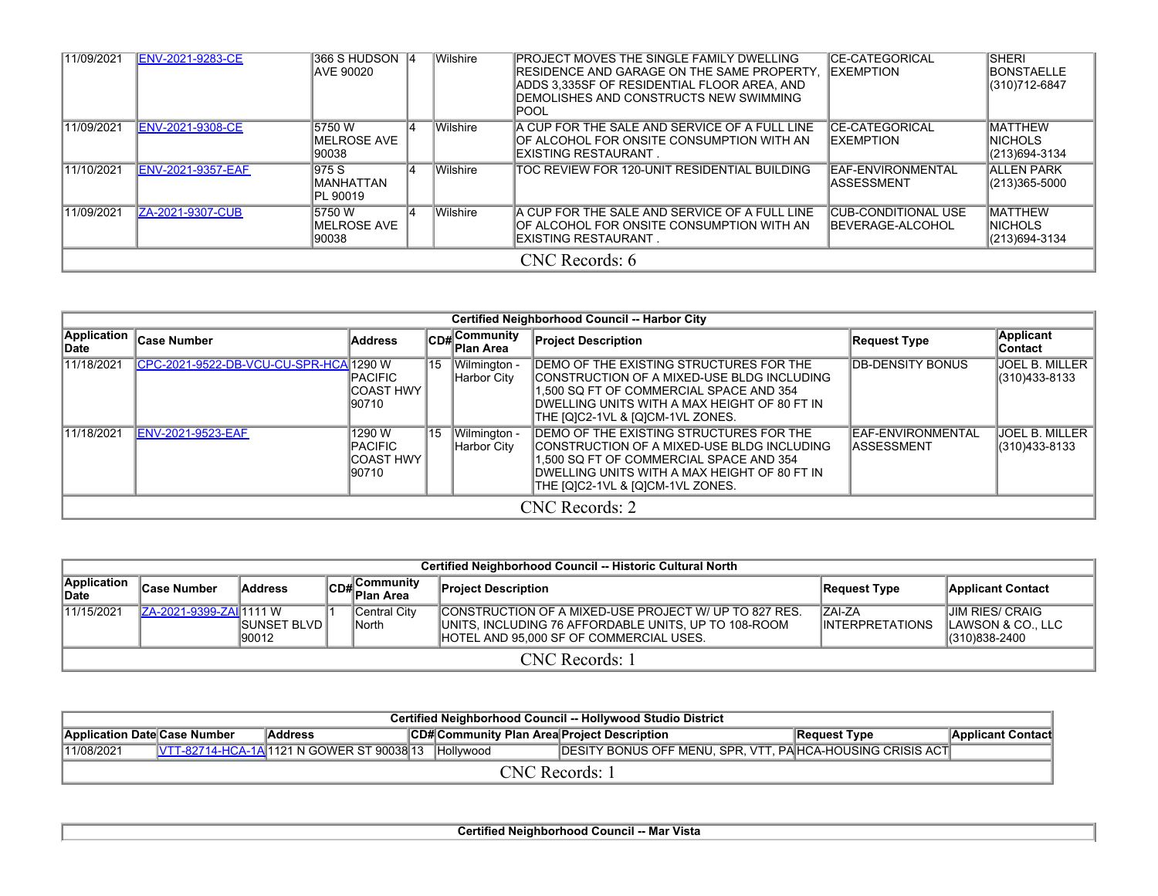| 11/09/2021     | <b>ENV-2021-9283-CE</b>  | 366 S HUDSON 4<br>IAVE 90020     |    | <b>Wilshire</b> | <b>PROJECT MOVES THE SINGLE FAMILY DWELLING</b><br>RESIDENCE AND GARAGE ON THE SAME PROPERTY.<br>ADDS 3,335SF OF RESIDENTIAL FLOOR AREA, AND<br>DEMOLISHES AND CONSTRUCTS NEW SWIMMING<br> POOL | <b>CE-CATEGORICAL</b><br><b>EXEMPTION</b>              | <b>SHERI</b><br><b>BONSTAELLE</b><br>(310)712-6847 |  |  |  |  |
|----------------|--------------------------|----------------------------------|----|-----------------|-------------------------------------------------------------------------------------------------------------------------------------------------------------------------------------------------|--------------------------------------------------------|----------------------------------------------------|--|--|--|--|
| 11/09/2021     | <b>ENV-2021-9308-CE</b>  | 5750W<br>IMELROSE AVE<br>90038   |    | Wilshire        | A CUP FOR THE SALE AND SERVICE OF A FULL LINE<br>IOF ALCOHOL FOR ONSITE CONSUMPTION WITH AN<br>IEXISTING RESTAURANT                                                                             | CE-CATEGORICAL<br><b>EXEMPTION</b>                     | <b>MATTHEW</b><br><b>INICHOLS</b><br>(213)694-3134 |  |  |  |  |
| 11/10/2021     | <b>ENV-2021-9357-EAF</b> | 975 S<br>MANHATTAN<br>PL 90019   | 14 | Wilshire        | TOC REVIEW FOR 120-UNIT RESIDENTIAL BUILDING                                                                                                                                                    | EAF-ENVIRONMENTAL<br><b>ASSESSMENT</b>                 | <b>ALLEN PARK</b><br>$(213)365 - 5000$             |  |  |  |  |
| 11/09/2021     | ZA-2021-9307-CUB         | 5750 W<br>IMELROSE AVE<br>190038 | 14 | Wilshire        | A CUP FOR THE SALE AND SERVICE OF A FULL LINE<br>IOF ALCOHOL FOR ONSITE CONSUMPTION WITH AN<br>IEXISTING RESTAURANT                                                                             | <b>CUB-CONDITIONAL USE</b><br><b>IBEVERAGE-ALCOHOL</b> | <b>MATTHEW</b><br><b>INICHOLS</b><br>(213)694-3134 |  |  |  |  |
| CNC Records: 6 |                          |                                  |    |                 |                                                                                                                                                                                                 |                                                        |                                                    |  |  |  |  |

|                      | <b>Certified Neighborhood Council -- Harbor City</b> |                                                  |    |                                |                                                                                                                                                                                                                        |                                                 |                                        |  |  |  |  |  |  |
|----------------------|------------------------------------------------------|--------------------------------------------------|----|--------------------------------|------------------------------------------------------------------------------------------------------------------------------------------------------------------------------------------------------------------------|-------------------------------------------------|----------------------------------------|--|--|--|--|--|--|
| Application<br>∣Date | <b>Case Number</b>                                   | <b>Address</b>                                   |    | $ CD#$ Community<br>∣Plan Area | <b>Project Description</b>                                                                                                                                                                                             | <b>Request Type</b>                             | <b>Applicant</b><br>Contact            |  |  |  |  |  |  |
| 11/18/2021           | CPC-2021-9522-DB-VCU-CU-SPR-HCA 1290 W               | IPACIFIC<br>ICOAST HWY<br>190710                 | 15 | Wilmington -<br>Harbor Citv    | IDEMO OF THE EXISTING STRUCTURES FOR THE<br>ICONSTRUCTION OF A MIXED-USE BLDG INCLUDING<br>1.500 SQ FT OF COMMERCIAL SPACE AND 354<br>DWELLING UNITS WITH A MAX HEIGHT OF 80 FT IN<br>THE [Q]C2-1VL & [Q]CM-1VL ZONES. | <b>IDB-DENSITY BONUS</b>                        | <b>JOEL B. MILLER</b><br>(310)433-8133 |  |  |  |  |  |  |
| 11/18/2021           | <b>IENV-2021-9523-EAF</b>                            | 1290 W<br><b>IPACIFIC</b><br>ICOAST HWY<br>90710 | 15 | Wilmington -<br>Harbor Citv    | DEMO OF THE EXISTING STRUCTURES FOR THE<br>ICONSTRUCTION OF A MIXED-USE BLDG INCLUDING<br>1.500 SQ FT OF COMMERCIAL SPACE AND 354<br>IDWELLING UNITS WITH A MAX HEIGHT OF 80 FT IN<br>THE [Q]C2-1VL & [Q]CM-1VL ZONES. | <b>IEAF-ENVIRONMENTAL</b><br><b>IASSESSMENT</b> | <b>JOEL B. MILLER</b><br>(310)433-8133 |  |  |  |  |  |  |
|                      |                                                      |                                                  |    |                                | CNC Records: 2                                                                                                                                                                                                         |                                                 |                                        |  |  |  |  |  |  |

| Certified Neighborhood Council -- Historic Cultural North |                         |                               |  |                                 |                                                                                                                                                                  |                                          |                                                               |  |  |  |  |  |
|-----------------------------------------------------------|-------------------------|-------------------------------|--|---------------------------------|------------------------------------------------------------------------------------------------------------------------------------------------------------------|------------------------------------------|---------------------------------------------------------------|--|--|--|--|--|
| Application<br><b>Date</b>                                | <b>Case Number</b>      | <b>Address</b>                |  | $\boxed{\text{CD}\#}$ Community | <b>Project Description</b>                                                                                                                                       | Request Type                             | <b>Applicant Contact</b>                                      |  |  |  |  |  |
| 11/15/2021                                                | ZA-2021-9399-ZAI 1111 W | <b>ISUNSET BLVD</b><br>190012 |  | Central City<br> North          | CONSTRUCTION OF A MIXED-USE PROJECT W/ UP TO 827 RES.<br>UNITS, INCLUDING 76 AFFORDABLE UNITS, UP TO 108-ROOM<br><b>IHOTEL AND 95.000 SF OF COMMERCIAL USES.</b> | <b>IZAI-ZA</b><br><b>INTERPRETATIONS</b> | <b>JIM RIES/ CRAIG</b><br>∥LAWSON & CO., LLC<br>(310)838-2400 |  |  |  |  |  |
|                                                           | CNC Records: 1          |                               |  |                                 |                                                                                                                                                                  |                                          |                                                               |  |  |  |  |  |

|                              | Certified Neighborhood Council -- Hollywood Studio District |                                                     |  |                                                   |                                                           |              |                          |  |  |  |  |  |  |  |
|------------------------------|-------------------------------------------------------------|-----------------------------------------------------|--|---------------------------------------------------|-----------------------------------------------------------|--------------|--------------------------|--|--|--|--|--|--|--|
| Application Date Case Number |                                                             | <b>Address</b>                                      |  | <b>CD#Community Plan Area Project Description</b> |                                                           | Request Type | <b>Applicant Contact</b> |  |  |  |  |  |  |  |
| 11/08/2021                   |                                                             | VTT-82714-HCA-1A 1121 N GOWER ST 90038 13 Hollywood |  |                                                   | DESITY BONUS OFF MENU, SPR, VTT, PAHCA-HOUSING CRISIS ACT |              |                          |  |  |  |  |  |  |  |
| CNC Records: 1               |                                                             |                                                     |  |                                                   |                                                           |              |                          |  |  |  |  |  |  |  |

**Certified Neighborhood Council -- Mar Vista**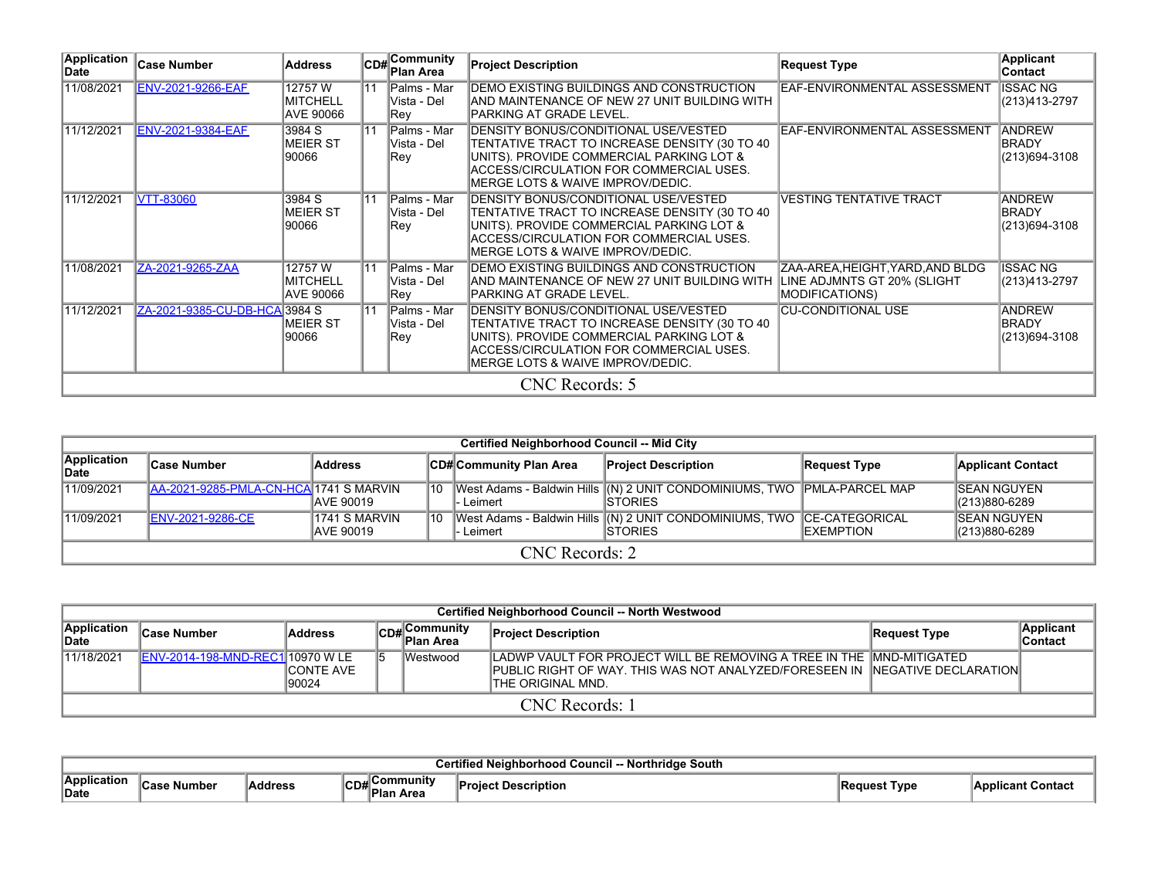| Application<br>Date | <b>Case Number</b>            | <b>Address</b>                                |                 | <b>CD#</b> Community<br>Plan Area   | <b>Project Description</b>                                                                                                                                                                                        | <b>Request Type</b>                                       | <b>Applicant</b><br><b>Contact</b>             |
|---------------------|-------------------------------|-----------------------------------------------|-----------------|-------------------------------------|-------------------------------------------------------------------------------------------------------------------------------------------------------------------------------------------------------------------|-----------------------------------------------------------|------------------------------------------------|
| 11/08/2021          | <b>ENV-2021-9266-EAF</b>      | 12757W<br><b>MITCHELL</b><br><b>AVE 90066</b> | $\overline{11}$ | Palms - Mar<br>Vista - Del<br> Rev  | DEMO EXISTING BUILDINGS AND CONSTRUCTION<br>IAND MAINTENANCE OF NEW 27 UNIT BUILDING WITH<br>PARKING AT GRADE LEVEL.                                                                                              | EAF-ENVIRONMENTAL ASSESSMENT                              | <b>ISSAC NG</b><br>(213)413-2797               |
| 11/12/2021          | <b>ENV-2021-9384-EAF</b>      | 3984 S<br><b>MEIER ST</b><br>90066            | $\overline{11}$ | Palms - Mar<br>lVista - Del<br>Rev  | DENSITY BONUS/CONDITIONAL USE/VESTED<br>TENTATIVE TRACT TO INCREASE DENSITY (30 TO 40<br>UNITS). PROVIDE COMMERCIAL PARKING LOT &<br> ACCESS/CIRCULATION FOR COMMERCIAL USES.<br>MERGE LOTS & WAIVE IMPROV/DEDIC. | EAF-ENVIRONMENTAL ASSESSMENT                              | <b>ANDREW</b><br><b>BRADY</b><br>(213)694-3108 |
| 11/12/2021          | <b>VTT-83060</b>              | 3984 S<br><b>MEIER ST</b><br>90066            | 11              | Palms - Mar<br>Vista - Del<br> Rev  | DENSITY BONUS/CONDITIONAL USE/VESTED<br>TENTATIVE TRACT TO INCREASE DENSITY (30 TO 40<br>UNITS). PROVIDE COMMERCIAL PARKING LOT &<br> ACCESS/CIRCULATION FOR COMMERCIAL USES.<br>MERGE LOTS & WAIVE IMPROV/DEDIC. | <b>IVESTING TENTATIVE TRACT</b>                           | <b>ANDREW</b><br>BRADY<br>(213)694-3108        |
| 11/08/2021          | ZA-2021-9265-ZAA              | 12757 W<br><b>MITCHELL</b><br>AVE 90066       | $\overline{11}$ | Palms - Mar<br>lVista - Del<br> Rey | DEMO EXISTING BUILDINGS AND CONSTRUCTION<br>AND MAINTENANCE OF NEW 27 UNIT BUILDING WITH LINE ADJMNTS GT 20% (SLIGHT<br>IPARKING AT GRADE LEVEL.                                                                  | ZAA-AREA, HEIGHT, YARD, AND BLDG<br><b>MODIFICATIONS)</b> | <b>ISSAC NG</b><br>(213)413-2797               |
| 11/12/2021          | ZA-2021-9385-CU-DB-HCA 3984 S | IMEIER ST<br>90066                            | $\overline{11}$ | Palms - Mar<br>lVista - Del<br>∣Rev | DENSITY BONUS/CONDITIONAL USE/VESTED<br>TENTATIVE TRACT TO INCREASE DENSITY (30 TO 40<br>UNITS). PROVIDE COMMERCIAL PARKING LOT &<br>ACCESS/CIRCULATION FOR COMMERCIAL USES.<br>MERGE LOTS & WAIVE IMPROV/DEDIC.  | <b>CU-CONDITIONAL USE</b>                                 | <b>ANDREW</b><br><b>BRADY</b><br>(213)694-3108 |
|                     |                               |                                               |                 |                                     | CNC Records: 5                                                                                                                                                                                                    |                                                           |                                                |

|                      | <b>Certified Neighborhood Council -- Mid City</b> |                                   |    |                          |                                                                                            |                   |                                      |  |  |  |  |  |  |
|----------------------|---------------------------------------------------|-----------------------------------|----|--------------------------|--------------------------------------------------------------------------------------------|-------------------|--------------------------------------|--|--|--|--|--|--|
| Application<br>∣Date | <b>Case Number</b>                                | Address                           |    | ∣CD#∣Community Plan Area | <b>Project Description</b>                                                                 | Request Type      | <b>Applicant Contact</b>             |  |  |  |  |  |  |
| 11/09/2021           | AA-2021-9285-PMLA-CN-HCA 1741 SMARVIN             | <b>JAVE 90019</b>                 | 10 | l- Leimert               | West Adams - Baldwin Hills (N) 2 UNIT CONDOMINIUMS, TWO PMLA-PARCEL MAP<br><b>ISTORIES</b> |                   | <b>ISEAN NGUYEN</b><br>(213)880-6289 |  |  |  |  |  |  |
| 11/09/2021           | <b>ENV-2021-9286-CE</b>                           | 1741 S MARVIN<br><b>AVE 90019</b> | 10 | l- Leimert               | West Adams - Baldwin Hills (N) 2 UNIT CONDOMINIUMS, TWO CE-CATEGORICAL<br><b>ISTORIES</b>  | <b>IEXEMPTION</b> | <b>ISEAN NGUYEN</b><br>(213)880-6289 |  |  |  |  |  |  |
|                      | CNC Records: 2                                    |                                   |    |                          |                                                                                            |                   |                                      |  |  |  |  |  |  |

|                      | <b>Certified Neighborhood Council -- North Westwood</b> |                            |  |                           |                                                                                                                                                                              |              |                             |  |  |  |  |  |  |  |
|----------------------|---------------------------------------------------------|----------------------------|--|---------------------------|------------------------------------------------------------------------------------------------------------------------------------------------------------------------------|--------------|-----------------------------|--|--|--|--|--|--|--|
| Application<br>∣Date | <b>Case Number</b>                                      | <b>Address</b>             |  | CD#Community<br>Plan Area | <b>Project Description</b>                                                                                                                                                   | Request Type | <b>Applicant</b><br>Contact |  |  |  |  |  |  |  |
| 11/18/2021           | ENV-2014-198-MND-REC1 10970 W LE                        | <b>ICONTE AVE</b><br>90024 |  | Westwood                  | ILADWP VAULT FOR PROJECT WILL BE REMOVING A TREE IN THE ∥MND-MITIGATED<br>PUBLIC RIGHT OF WAY. THIS WAS NOT ANALYZED/FORESEEN IN INEGATIVE DECLARATIONI<br>THE ORIGINAL MND. |              |                             |  |  |  |  |  |  |  |
|                      | CNC Records: 1                                          |                            |  |                           |                                                                                                                                                                              |              |                             |  |  |  |  |  |  |  |

|                            | South              |             |      |         |          |                     |  |  |  |  |  |  |
|----------------------------|--------------------|-------------|------|---------|----------|---------------------|--|--|--|--|--|--|
| ⊪Annli∕<br>'cation<br>Date | Numbe <sup>,</sup> | <br>aaaress | יישט | mmunitv | Pro<br>. | Tvpe<br><b>1109</b> |  |  |  |  |  |  |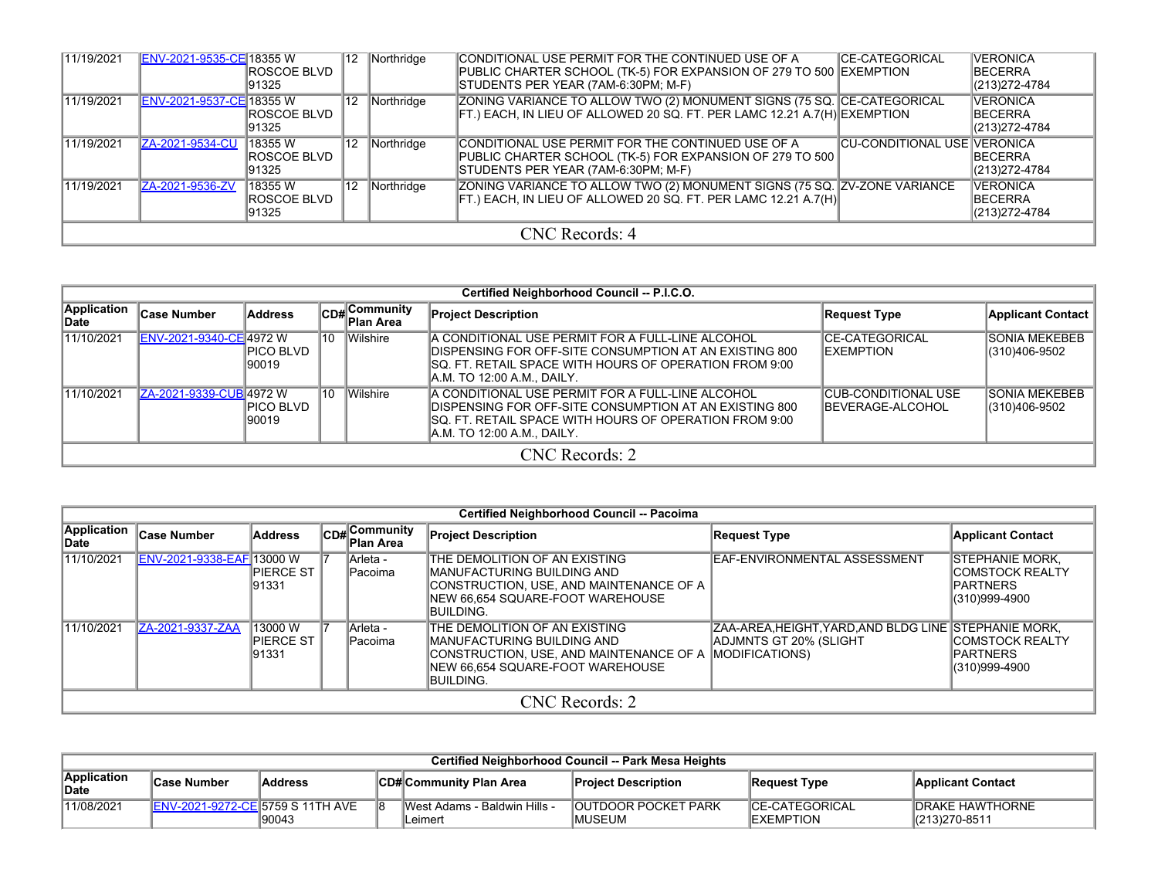| 11/19/2021 | ENV-2021-9535-CE 18355 W         | IROSCOE BLVD<br>91325             | '12 | Northridge | CONDITIONAL USE PERMIT FOR THE CONTINUED USE OF A<br>PUBLIC CHARTER SCHOOL (TK-5) FOR EXPANSION OF 279 TO 500 EXEMPTION<br>STUDENTS PER YEAR (7AM-6:30PM; M-F) | <b>ICE-CATEGORICAL</b>             | <b>VERONICA</b><br><b>BECERRA</b><br>(213) 272-4784  |  |  |  |  |
|------------|----------------------------------|-----------------------------------|-----|------------|----------------------------------------------------------------------------------------------------------------------------------------------------------------|------------------------------------|------------------------------------------------------|--|--|--|--|
| 11/19/2021 | <b>IENV-2021-9537-CE 18355 W</b> | IROSCOE BLVD<br>91325             | 12  | Northridge | ZONING VARIANCE TO ALLOW TWO (2) MONUMENT SIGNS (75 SQ. CE-CATEGORICAL<br>FT.) EACH, IN LIEU OF ALLOWED 20 SQ. FT. PER LAMC 12.21 A.7(H) EXEMPTION             |                                    | <b>VERONICA</b><br><b>IBECERRA</b><br>(213) 272-4784 |  |  |  |  |
| 11/19/2021 | ZA-2021-9534-CU                  | 18355 W<br>IROSCOE BLVD<br>91325  | 12  | Northridge | CONDITIONAL USE PERMIT FOR THE CONTINUED USE OF A<br><b>PUBLIC CHARTER SCHOOL (TK-5) FOR EXPANSION OF 279 TO 500</b><br>STUDENTS PER YEAR (7AM-6:30PM; M-F)    | <b>CU-CONDITIONAL USE VERONICA</b> | <b>IBECERRA</b><br>(213) 272-4784                    |  |  |  |  |
| 11/19/2021 | ZA-2021-9536-ZV                  | 18355 W<br>IROSCOE BLVD<br>191325 | 12  | Northridge | ZONING VARIANCE TO ALLOW TWO (2) MONUMENT SIGNS (75 SQ. ZV-ZONE VARIANCE<br>$\vert$ FT.) EACH, IN LIEU OF ALLOWED 20 SQ. FT. PER LAMC 12.21 A.7(H) $\vert$     |                                    | <b>VERONICA</b><br><b>BECERRA</b><br>(213) 272-4784  |  |  |  |  |
|            | CNC Records: 4                   |                                   |     |            |                                                                                                                                                                |                                    |                                                      |  |  |  |  |

|                      | Certified Neighborhood Council -- P.I.C.O. |                           |     |                                         |                                                                                                                                                                                                             |                                                 |                                        |  |  |  |  |  |  |
|----------------------|--------------------------------------------|---------------------------|-----|-----------------------------------------|-------------------------------------------------------------------------------------------------------------------------------------------------------------------------------------------------------------|-------------------------------------------------|----------------------------------------|--|--|--|--|--|--|
| Application<br>∣Date | <b>Case Number</b>                         | <b>Address</b>            |     | $C$ D# $C$ ommunity<br><b>Plan Area</b> | <b>Project Description</b>                                                                                                                                                                                  | <b>Request Type</b>                             | Applicant Contact                      |  |  |  |  |  |  |
| 11/10/2021           | ENV-2021-9340-CE 4972 W                    | PICO BLVD<br>90019        | 110 | <b>Wilshire</b>                         | A CONDITIONAL USE PERMIT FOR A FULL-LINE ALCOHOL<br><b>IDISPENSING FOR OFF-SITE CONSUMPTION AT AN EXISTING 800</b><br>ISQ. FT. RETAIL SPACE WITH HOURS OF OPERATION FROM 9:00<br>A.M. TO 12:00 A.M., DAILY. | <b>CE-CATEGORICAL</b><br><b>IEXEMPTION</b>      | <b>ISONIA MEKEBEB</b><br>(310)406-9502 |  |  |  |  |  |  |
| 11/10/2021           | ZA-2021-9339-CUB 4972 W                    | <b>PICO BLVD</b><br>90019 | 110 | <b>Wilshire</b>                         | A CONDITIONAL USE PERMIT FOR A FULL-LINE ALCOHOL<br><b>IDISPENSING FOR OFF-SITE CONSUMPTION AT AN EXISTING 800</b><br>ISQ. FT. RETAIL SPACE WITH HOURS OF OPERATION FROM 9:00<br>A.M. TO 12:00 A.M., DAILY. | <b>CUB-CONDITIONAL USE</b><br>IBEVERAGE-ALCOHOL | ISONIA MEKEBEB<br>(310)406-9502        |  |  |  |  |  |  |
|                      |                                            | CNC Records: 2            |     |                                         |                                                                                                                                                                                                             |                                                 |                                        |  |  |  |  |  |  |

|                      | Certified Neighborhood Council -- Pacoima |                                |  |                           |                                                                                                                                                            |                                                                                                   |                                                                                |  |  |  |  |  |
|----------------------|-------------------------------------------|--------------------------------|--|---------------------------|------------------------------------------------------------------------------------------------------------------------------------------------------------|---------------------------------------------------------------------------------------------------|--------------------------------------------------------------------------------|--|--|--|--|--|
| Application<br>∣Date | <b>Case Number</b>                        | Address                        |  | CD#Community<br>Plan Area | <b>Project Description</b>                                                                                                                                 | Request Type                                                                                      | <b>Applicant Contact</b>                                                       |  |  |  |  |  |
| 11/10/2021           | ENV-2021-9338-EAF 13000 W                 | <b>IPIERCE ST</b><br>191331    |  | Arleta -<br>Pacoima       | THE DEMOLITION OF AN EXISTING<br>IMANUFACTURING BUILDING AND<br>ICONSTRUCTION. USE. AND MAINTENANCE OF A<br>NEW 66.654 SQUARE-FOOT WAREHOUSE<br>BUILDING.  | IEAF-ENVIRONMENTAL ASSESSMENT                                                                     | <b>STEPHANIE MORK,</b><br>ICOMSTOCK REALTY<br><b>PARTNERS</b><br>(310)999-4900 |  |  |  |  |  |
| 11/10/2021           | ZA-2021-9337-ZAA                          | 13000 W<br>PIERCE ST<br>191331 |  | Arleta -<br>Pacoima       | THE DEMOLITION OF AN EXISTING<br>IMANUFACTURING BUILDING AND<br>CONSTRUCTION, USE, AND MAINTENANCE OF A  <br>NEW 66.654 SQUARE-FOOT WAREHOUSE<br>BUILDING. | ZAA-AREA, HEIGHT, YARD, AND BLDG LINE STEPHANIE MORK,<br>ADJMNTS GT 20% (SLIGHT<br>MODIFICATIONS) | <b>ICOMSTOCK REALTY</b><br><b>PARTNERS</b><br>(310)999-4900                    |  |  |  |  |  |
|                      |                                           |                                |  |                           | CNC Records: 2                                                                                                                                             |                                                                                                   |                                                                                |  |  |  |  |  |

|                            | Certified Neighborhood Council -- Park Mesa Heights |         |  |                                           |                                               |                                      |                                           |  |  |  |  |  |  |
|----------------------------|-----------------------------------------------------|---------|--|-------------------------------------------|-----------------------------------------------|--------------------------------------|-------------------------------------------|--|--|--|--|--|--|
| Application<br><b>Date</b> | Case Number                                         | Address |  | ∥CD#∣Communitv Plan Area                  | <b>Project Description</b>                    | Request Type                         | <b>Applicant Contact</b>                  |  |  |  |  |  |  |
| 11/08/2021                 | ENV-2021-9272-CE 5759 S 11TH AVE                    | 90043   |  | IWest Adams - Baldwin Hills -<br>∣Leimert | <b>JOUTDOOR POCKET PARK</b><br><b>IMUSEUM</b> | ICE-CATEGORICAL<br><b>IEXEMPTION</b> | <b>IDRAKE HAWTHORNE</b><br>(213) 270-8511 |  |  |  |  |  |  |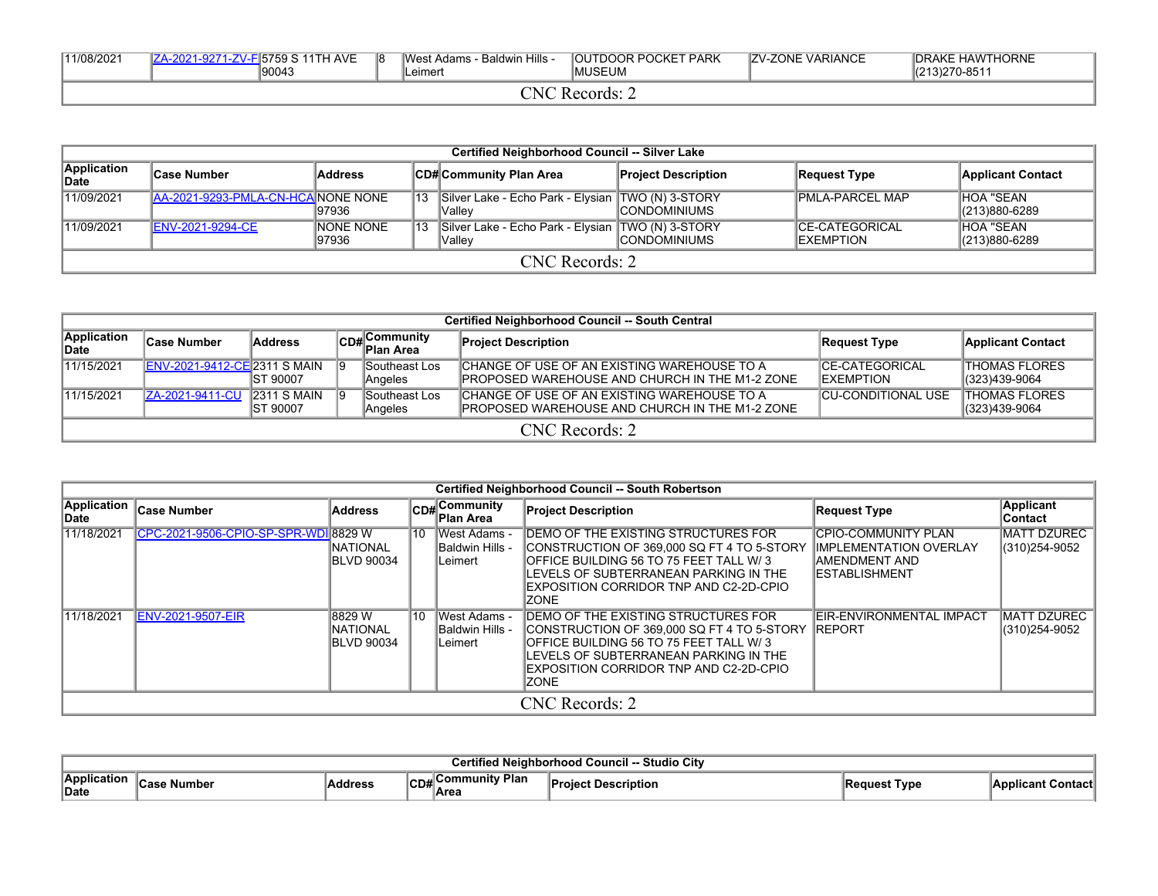| 11/08/2021 | 15759 S 11TH AVE<br>90043 | 18 | Baldwin Hills<br>West Adams -<br>Leimert | <b>JOUTDOOR POCKET PARK</b><br><b>IMUSEUM</b> | <b>IZV-ZONE VARIANCE</b> | <b>IDRAKE HAWTHORNE</b><br>(213) 270-8511 |
|------------|---------------------------|----|------------------------------------------|-----------------------------------------------|--------------------------|-------------------------------------------|
|            |                           |    | `NL                                      | Records:                                      |                          |                                           |

|                      | <b>Certified Neighborhood Council -- Silver Lake</b>                                                                                            |                            |    |                                                                      |                      |                                             |                                        |  |  |  |  |  |
|----------------------|-------------------------------------------------------------------------------------------------------------------------------------------------|----------------------------|----|----------------------------------------------------------------------|----------------------|---------------------------------------------|----------------------------------------|--|--|--|--|--|
| Application<br>∣Date | <b>Address</b><br><b>CD#Community Plan Area</b><br><b>Project Description</b><br><b>Applicant Contact</b><br><b>Case Number</b><br>Request Type |                            |    |                                                                      |                      |                                             |                                        |  |  |  |  |  |
| 11/09/2021           | AA-2021-9293-PMLA-CN-HCA NONE NONE                                                                                                              | 197936                     | 13 | Silver Lake - Echo Park - Elysian   TWO (N) 3-STORY<br><b>Vallev</b> | <b>ICONDOMINIUMS</b> | <b>PMLA-PARCEL MAP</b>                      | <b>HOA "SEAN</b><br>(213)880-6289      |  |  |  |  |  |
| 11/09/2021           | ENV-2021-9294-CE                                                                                                                                | <b>INONE NONE</b><br>97936 | 13 | Silver Lake - Echo Park - Elysian TWO (N) 3-STORY<br><b>Vallev</b>   | <b>ICONDOMINIUMS</b> | <b>ICE-CATEGORICAL</b><br><b>IEXEMPTION</b> | <b>HOA "SEAN</b><br>$ (213)880 - 6289$ |  |  |  |  |  |
|                      | CNC Records: 2                                                                                                                                  |                            |    |                                                                      |                      |                                             |                                        |  |  |  |  |  |

|                      | <b>Certified Neighborhood Council -- South Central</b> |                                   |    |                              |                                                                                                       |                                             |                                       |  |  |  |  |  |  |
|----------------------|--------------------------------------------------------|-----------------------------------|----|------------------------------|-------------------------------------------------------------------------------------------------------|---------------------------------------------|---------------------------------------|--|--|--|--|--|--|
| Application<br>∣Date | <b>Case Number</b>                                     | <b>Address</b>                    |    | ∣Community<br>lCD# Plan Area | <b>Project Description</b>                                                                            | Request Type                                | <b>Applicant Contact</b>              |  |  |  |  |  |  |
| 11/15/2021           | ENV-2021-9412-CE 2311 S MAIN                           | IST 90007                         | 19 | Southeast Los<br>Angeles     | CHANGE OF USE OF AN EXISTING WAREHOUSE TO A<br><b>IPROPOSED WAREHOUSE AND CHURCH IN THE M1-2 ZONE</b> | <b>ICE-CATEGORICAL</b><br><b>IEXEMPTION</b> | <b>THOMAS FLORES</b><br>(323)439-9064 |  |  |  |  |  |  |
| 11/15/2021           | IZA-2021-9411-CU                                       | $2311$ S MAIN<br><b>IST 90007</b> | 19 | Southeast Los<br>Angeles     | CHANGE OF USE OF AN EXISTING WAREHOUSE TO A<br><b>IPROPOSED WAREHOUSE AND CHURCH IN THE M1-2 ZONE</b> | <b>CU-CONDITIONAL USE</b>                   | <b>THOMAS FLORES</b><br>(323)439-9064 |  |  |  |  |  |  |
|                      | $CNC$ Records: 2                                       |                                   |    |                              |                                                                                                       |                                             |                                       |  |  |  |  |  |  |

|                                   |                               |                                                |    |                                                    | <b>Certified Neighborhood Council -- South Robertson</b>                                                                                                                                                                       |                                                                                                               |                                      |
|-----------------------------------|-------------------------------|------------------------------------------------|----|----------------------------------------------------|--------------------------------------------------------------------------------------------------------------------------------------------------------------------------------------------------------------------------------|---------------------------------------------------------------------------------------------------------------|--------------------------------------|
| <b>Application</b><br><b>Date</b> | <b>Case Number</b>            | <b>Address</b>                                 |    | CD#Community<br>∣Plan Area                         | <b>Project Description</b>                                                                                                                                                                                                     | <b>Request Type</b>                                                                                           | <b>Applicant</b><br>Contact          |
| 11/18/2021                        | CPC-2021-9506-CPIO-SP-SPR-WDI | 8829 W<br>INATIONAL<br><b>BLVD 90034</b>       | 10 | West Adams -<br><b>Baldwin Hills -</b><br>lLeimert | DEMO OF THE EXISTING STRUCTURES FOR<br>CONSTRUCTION OF 369.000 SQ FT 4 TO 5-STORY<br>OFFICE BUILDING 56 TO 75 FEET TALL W/3<br>LEVELS OF SUBTERRANEAN PARKING IN THE<br>EXPOSITION CORRIDOR TNP AND C2-2D-CPIO<br><b>ZONE</b>  | <b>CPIO-COMMUNITY PLAN</b><br><b>IMPLEMENTATION OVERLAY</b><br><b>IAMENDMENT AND</b><br><b>IESTABLISHMENT</b> | <b>MATT DZUREC</b><br>(310) 254-9052 |
| 11/18/2021                        | ENV-2021-9507-EIR             | 8829 W<br><b>NATIONAL</b><br><b>BLVD 90034</b> | 10 | West Adams -<br><b>Baldwin Hills -</b><br>lLeimert | DEMO OF THE EXISTING STRUCTURES FOR<br>CONSTRUCTION OF 369.000 SQ FT 4 TO 5-STORY<br>OFFICE BUILDING 56 TO 75 FEET TALL W/3<br>LEVELS OF SUBTERRANEAN PARKING IN THE<br>EXPOSITION CORRIDOR TNP AND C2-2D-CPIO<br><b>IZONE</b> | IEIR-ENVIRONMENTAL IMPACT<br><b>REPORT</b>                                                                    | <b>MATT DZUREC</b><br>(310) 254-9052 |
|                                   |                               |                                                |    |                                                    | <b>CNC</b> Records: 2                                                                                                                                                                                                          |                                                                                                               |                                      |

|                            | City<br>Studio<br>Council |        |                                                           |                    |             |                  |  |  |  |  |  |
|----------------------------|---------------------------|--------|-----------------------------------------------------------|--------------------|-------------|------------------|--|--|--|--|--|
| <b>Application</b><br>Date |                           | ddress | <sup>.</sup> Plan<br>Community<br>ື<br>AR.<br>™ש<br>∣Area | <b>Description</b> | Type<br>ucə | 'Applicant<br>wu |  |  |  |  |  |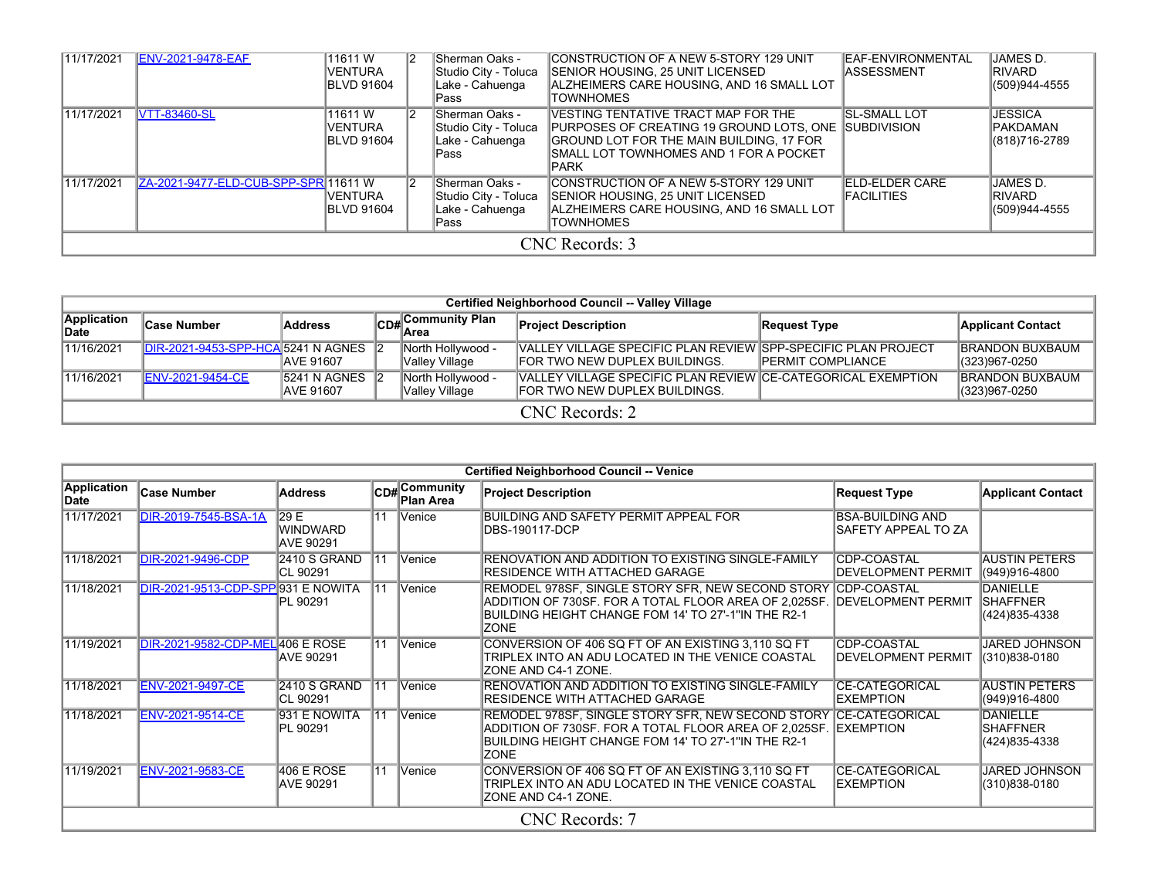| 11/17/2021 | <b>ENV-2021-9478-EAF</b>             | 11611 W<br>VENTURA<br><b>IBLVD 91604</b> | <b>Sherman Oaks -</b><br>Studio City - Toluca<br>Lake - Cahuenga<br>Pass | CONSTRUCTION OF A NEW 5-STORY 129 UNIT<br>ISENIOR HOUSING. 25 UNIT LICENSED<br>IALZHEIMERS CARE HOUSING. AND 16 SMALL LOT<br><b>TOWNHOMES</b>                                                      | EAF-ENVIRONMENTAL<br><b>IASSESSMENT</b>    | JAMES D.<br><b>IRIVARD</b><br>(509)944-4555         |
|------------|--------------------------------------|------------------------------------------|--------------------------------------------------------------------------|----------------------------------------------------------------------------------------------------------------------------------------------------------------------------------------------------|--------------------------------------------|-----------------------------------------------------|
| 11/17/2021 | <b>VTT-83460-SL</b>                  | 11611W<br>VENTURA<br><b>IBLVD 91604</b>  | <b>Sherman Oaks -</b><br>Studio City - Toluca<br>Lake - Cahuenga<br>Pass | VESTING TENTATIVE TRACT MAP FOR THE<br><b>PURPOSES OF CREATING 19 GROUND LOTS, ONE SUBDIVISION</b><br>GROUND LOT FOR THE MAIN BUILDING, 17 FOR<br>ISMALL LOT TOWNHOMES AND 1 FOR A POCKET<br>IPARK | <b>SL-SMALL LOT</b>                        | <b>JESSICA</b><br><b>IPAKDAMAN</b><br>(818)716-2789 |
| 11/17/2021 | ZA-2021-9477-ELD-CUB-SPP-SPR 11611 W | VENTURA<br><b>IBLVD 91604</b>            | Sherman Oaks -<br>Studio City - Toluca<br>Lake - Cahuenga<br>Pass        | CONSTRUCTION OF A NEW 5-STORY 129 UNIT<br>ISENIOR HOUSING. 25 UNIT LICENSED<br>IALZHEIMERS CARE HOUSING. AND 16 SMALL LOT<br><b>TOWNHOMES</b>                                                      | <b>ELD-ELDER CARE</b><br><b>FACILITIES</b> | JAMES D.<br><b>IRIVARD</b><br>(509)944-4555         |
|            |                                      |                                          |                                                                          | CNC Records: 3                                                                                                                                                                                     |                                            |                                                     |

|                      | Certified Neighborhood Council -- Valley Village |                                     |  |                                     |                                                                                                        |                           |                                         |  |  |  |  |  |
|----------------------|--------------------------------------------------|-------------------------------------|--|-------------------------------------|--------------------------------------------------------------------------------------------------------|---------------------------|-----------------------------------------|--|--|--|--|--|
| Application<br>∣Date | ∣Case Number                                     | Address                             |  | <b>CD#</b><br>CD# Community Plan    | <b>Project Description</b>                                                                             | <b>Request Type</b>       | <b>Applicant Contact</b>                |  |  |  |  |  |
| 11/16/2021           | <b>IDIR-2021-9453-SPP-HCA 5241 N AGNES</b> 2     | <b>IAVE 91607</b>                   |  | North Hollywood -<br>Valley Village | VALLEY VILLAGE SPECIFIC PLAN REVIEW SPP-SPECIFIC PLAN PROJECT<br><b>FOR TWO NEW DUPLEX BUILDINGS.</b>  | <b>IPERMIT COMPLIANCE</b> | <b>BRANDON BUXBAUM</b><br>(323)967-0250 |  |  |  |  |  |
| 11/16/2021           | <b>ENV-2021-9454-CE</b>                          | 5241 N AGNES 2<br><b>IAVE 91607</b> |  | North Hollywood -<br>Valley Village | VALLEY VILLAGE SPECIFIC PLAN REVIEW ICE-CATEGORICAL EXEMPTION<br><b>IFOR TWO NEW DUPLEX BUILDINGS.</b> |                           | <b>BRANDON BUXBAUM</b><br>(323)967-0250 |  |  |  |  |  |
|                      |                                                  |                                     |  |                                     | $CNC$ Records: 2                                                                                       |                           |                                         |  |  |  |  |  |

|                     |                                           |                                            |                 |                            | <b>Certified Neighborhood Council -- Venice</b>                                                                                                                                                                 |                                                 |                                                     |
|---------------------|-------------------------------------------|--------------------------------------------|-----------------|----------------------------|-----------------------------------------------------------------------------------------------------------------------------------------------------------------------------------------------------------------|-------------------------------------------------|-----------------------------------------------------|
| Application<br>Date | <b>Case Number</b>                        | <b>Address</b>                             |                 | CD#Community<br>∣Plan Area | <b>Project Description</b>                                                                                                                                                                                      | <b>Request Type</b>                             | <b>Applicant Contact</b>                            |
| 11/17/2021          | <b>DIR-2019-7545-BSA-1A</b>               | 29E<br><b>WINDWARD</b><br><b>AVE 90291</b> | $\overline{11}$ | <b>Venice</b>              | BUILDING AND SAFETY PERMIT APPEAL FOR<br>DBS-190117-DCP                                                                                                                                                         | <b>BSA-BUILDING AND</b><br>SAFETY APPEAL TO ZA  |                                                     |
| 11/18/2021          | DIR-2021-9496-CDP                         | 2410 S GRAND<br>ICL 90291                  | $\overline{11}$ | <b>Venice</b>              | RENOVATION AND ADDITION TO EXISTING SINGLE-FAMILY<br>RESIDENCE WITH ATTACHED GARAGE                                                                                                                             | <b>CDP-COASTAL</b><br><b>DEVELOPMENT PERMIT</b> | <b>AUSTIN PETERS</b><br>(949)916-4800               |
| 11/18/2021          | <b>DIR-2021-9513-CDP-SPP 931 E NOWITA</b> | PL 90291                                   | 11              | Venice                     | REMODEL 978SF, SINGLE STORY SFR, NEW SECOND STORY CDP-COASTAL<br>ADDITION OF 730SF. FOR A TOTAL FLOOR AREA OF 2,025SF. DEVELOPMENT PERMIT<br>BUILDING HEIGHT CHANGE FOM 14' TO 27'-1"IN THE R2-1<br><b>ZONE</b> |                                                 | DANIELLE<br><b>SHAFFNER</b><br>(424)835-4338        |
| 11/19/2021          | <b>DIR-2021-9582-CDP-MEL 406 E ROSE</b>   | <b>AVE 90291</b>                           | $\overline{11}$ | Venice                     | CONVERSION OF 406 SQ FT OF AN EXISTING 3,110 SQ FT<br>TRIPLEX INTO AN ADU LOCATED IN THE VENICE COASTAL<br>IZONE AND C4-1 ZONE.                                                                                 | <b>CDP-COASTAL</b><br>DEVELOPMENT PERMIT        | <b>JARED JOHNSON</b><br>(310)838-0180               |
| 11/18/2021          | <b>ENV-2021-9497-CE</b>                   | 2410 S GRAND<br>ICL 90291                  | 11              | Venice                     | RENOVATION AND ADDITION TO EXISTING SINGLE-FAMILY<br>RESIDENCE WITH ATTACHED GARAGE                                                                                                                             | <b>CE-CATEGORICAL</b><br><b>EXEMPTION</b>       | <b>AUSTIN PETERS</b><br>(949)916-4800               |
| 11/18/2021          | <b>ENV-2021-9514-CE</b>                   | 931 E NOWITA<br>PL 90291                   | 11              | <b>Venice</b>              | REMODEL 978SF, SINGLE STORY SFR, NEW SECOND STORY ICE-CATEGORICAL<br>ADDITION OF 730SF. FOR A TOTAL FLOOR AREA OF 2,025SF.<br>BUILDING HEIGHT CHANGE FOM 14' TO 27'-1"IN THE R2-1<br><b>ZONE</b>                | <b>IEXEMPTION</b>                               | <b>DANIELLE</b><br><b>SHAFFNER</b><br>(424)835-4338 |
| 11/19/2021          | <b>ENV-2021-9583-CE</b>                   | <b>406 E ROSE</b><br>AVE 90291             | $\overline{11}$ | Venice                     | CONVERSION OF 406 SQ FT OF AN EXISTING 3,110 SQ FT<br>TRIPLEX INTO AN ADU LOCATED IN THE VENICE COASTAL<br>ZONE AND C4-1 ZONE.                                                                                  | <b>CE-CATEGORICAL</b><br><b>EXEMPTION</b>       | <b>JARED JOHNSON</b><br>(310)838-0180               |
|                     |                                           |                                            |                 |                            | CNC Records: 7                                                                                                                                                                                                  |                                                 |                                                     |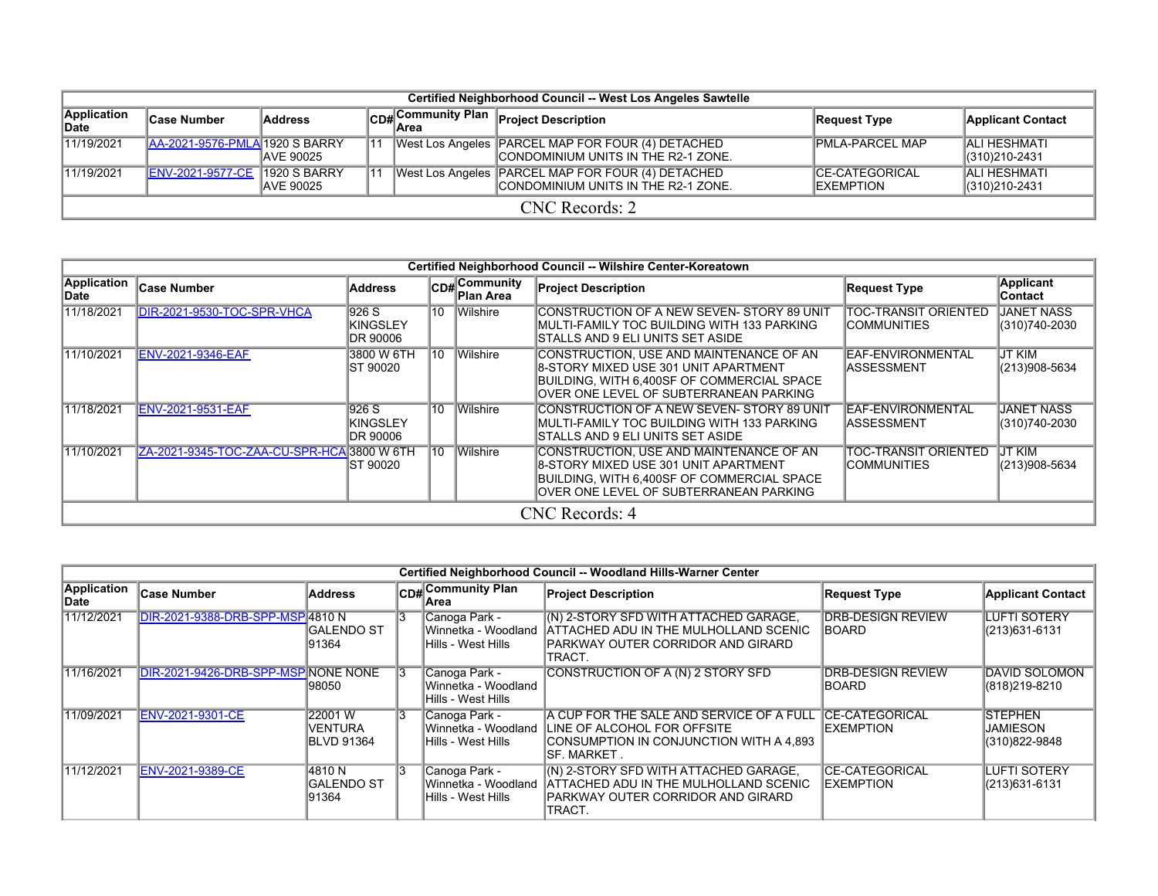|                                                        | Certified Neighborhood Council -- West Los Angeles Sawtelle |                                          |    |                                                        |                                                                                          |                                             |                                                  |  |  |  |  |  |  |  |  |  |  |  |
|--------------------------------------------------------|-------------------------------------------------------------|------------------------------------------|----|--------------------------------------------------------|------------------------------------------------------------------------------------------|---------------------------------------------|--------------------------------------------------|--|--|--|--|--|--|--|--|--|--|--|
| Application<br>∣Case Number<br><b>Address</b><br>∣Date |                                                             |                                          |    | $ CD_{\#} $ Community Plan $ _{\mathsf{P}}$ .<br>⊺Area | <b>Project Description</b>                                                               | Request Type                                | <b>Applicant Contact</b>                         |  |  |  |  |  |  |  |  |  |  |  |
| 11/19/2021                                             | AA-2021-9576-PMLA 1920 S BARRY                              | <b>JAVE 90025</b>                        | 11 |                                                        | West Los Angeles PARCEL MAP FOR FOUR (4) DETACHED<br>CONDOMINIUM UNITS IN THE R2-1 ZONE. | <b>PMLA-PARCEL MAP</b>                      | <b>ALI HESHMATI</b><br>$\parallel$ (310)210-2431 |  |  |  |  |  |  |  |  |  |  |  |
| 11/19/2021                                             | <b>ENV-2021-9577-CE</b>                                     | <b>1920 S BARRY</b><br><b>JAVE 90025</b> | 11 |                                                        | West Los Angeles PARCEL MAP FOR FOUR (4) DETACHED<br>CONDOMINIUM UNITS IN THE R2-1 ZONE. | <b>ICE-CATEGORICAL</b><br><b>IEXEMPTION</b> | <b>ALI HESHMATI</b><br>$ (310)210-2431$          |  |  |  |  |  |  |  |  |  |  |  |
|                                                        |                                                             |                                          |    |                                                        | CNC Records: 2                                                                           |                                             |                                                  |  |  |  |  |  |  |  |  |  |  |  |

|                      |                                            |                                               |    |                                  | Certified Neighborhood Council -- Wilshire Center-Koreatown                                                                                                             |                                             |                                    |
|----------------------|--------------------------------------------|-----------------------------------------------|----|----------------------------------|-------------------------------------------------------------------------------------------------------------------------------------------------------------------------|---------------------------------------------|------------------------------------|
| Application<br>∣Date | <b>Case Number</b>                         | <b>Address</b>                                |    | CD#Community<br><b>Plan Area</b> | <b>Project Description</b>                                                                                                                                              | <b>Request Type</b>                         | <b>Applicant</b><br>Contact        |
| 11/18/2021           | DIR-2021-9530-TOC-SPR-VHCA                 | 1926 S<br><b>KINGSLEY</b><br>IDR 90006        | 10 | Wilshire                         | ICONSTRUCTION OF A NEW SEVEN- STORY 89 UNIT<br>MULTI-FAMILY TOC BUILDING WITH 133 PARKING<br>STALLS AND 9 ELI UNITS SET ASIDE                                           | ITOC-TRANSIT ORIENTED<br><b>COMMUNITIES</b> | <b>JANET NASS</b><br>(310)740-2030 |
| 11/10/2021           | <b>ENV-2021-9346-EAF</b>                   | 3800 W 6TH<br>IST 90020                       | 10 | <b>Wilshire</b>                  | CONSTRUCTION, USE AND MAINTENANCE OF AN<br>8-STORY MIXED USE 301 UNIT APARTMENT<br>BUILDING, WITH 6,400SF OF COMMERCIAL SPACE<br>OVER ONE LEVEL OF SUBTERRANEAN PARKING | EAF-ENVIRONMENTAL<br>IASSESSMENT            | <b>JT KIM</b><br>(213)908-5634     |
| 11/18/2021           | <b>ENV-2021-9531-EAF</b>                   | 1926 S<br><b>KINGSLEY</b><br><b>IDR 90006</b> | 10 | Wilshire                         | CONSTRUCTION OF A NEW SEVEN- STORY 89 UNIT<br>MULTI-FAMILY TOC BUILDING WITH 133 PARKING<br>STALLS AND 9 ELI UNITS SET ASIDE                                            | EAF-ENVIRONMENTAL<br>IASSESSMENT            | <b>JANET NASS</b><br>(310)740-2030 |
| 11/10/2021           | ZA-2021-9345-TOC-ZAA-CU-SPR-HCA 3800 W 6TH | <b>IST 90020</b>                              | 10 | Wilshire                         | CONSTRUCTION, USE AND MAINTENANCE OF AN<br>8-STORY MIXED USE 301 UNIT APARTMENT<br>BUILDING, WITH 6,400SF OF COMMERCIAL SPACE<br>OVER ONE LEVEL OF SUBTERRANEAN PARKING | <b>TOC-TRANSIT ORIENTED</b><br>COMMUNITIES  | JT KIM<br>(213)908-5634            |
|                      |                                            |                                               |    |                                  | CNC Records: 4                                                                                                                                                          |                                             |                                    |

|                      |                                     |                                         |    |                                                            | Certified Neighborhood Council -- Woodland Hills-Warner Center                                                                                                       |                                             |                                                    |
|----------------------|-------------------------------------|-----------------------------------------|----|------------------------------------------------------------|----------------------------------------------------------------------------------------------------------------------------------------------------------------------|---------------------------------------------|----------------------------------------------------|
| Application<br>∣Date | <b>Case Number</b>                  | Address                                 |    | CD# Community Plan<br>lArea                                | <b>Project Description</b>                                                                                                                                           | <b>Request Type</b>                         | <b>Applicant Contact</b>                           |
| 11/12/2021           | DIR-2021-9388-DRB-SPP-MSP 4810 N    | <b>IGALENDO ST</b><br>191364            |    | Canoga Park -<br>Hills - West Hills                        | (N) 2-STORY SFD WITH ATTACHED GARAGE,<br>Winnetka - Woodland LATTACHED ADU IN THE MULHOLLAND SCENIC<br><b>PARKWAY OUTER CORRIDOR AND GIRARD</b><br>TRACT.            | <b>DRB-DESIGN REVIEW</b><br><b>IBOARD</b>   | <b>LUFTI SOTERY</b><br>(213) 631-6131              |
| 11/16/2021           | DIR-2021-9426-DRB-SPP-MSP NONE NONE | 98050                                   |    | Canoga Park -<br>Winnetka - Woodland<br>Hills - West Hills | CONSTRUCTION OF A (N) 2 STORY SFD                                                                                                                                    | <b>IDRB-DESIGN REVIEW</b><br>IBOARD         | <b>DAVID SOLOMON</b><br>(818) 219-8210             |
| 11/09/2021           | <b>ENV-2021-9301-CE</b>             | 22001 W<br>VENTURA<br><b>BLVD 91364</b> | 13 | Canoga Park -<br>Hills - West Hills                        | A CUP FOR THE SALE AND SERVICE OF A FULL CE-CATEGORICAL<br>Winnetka - Woodland LINE OF ALCOHOL FOR OFFSITE<br>CONSUMPTION IN CONJUNCTION WITH A 4,893<br>ISF. MARKET | <b>IEXEMPTION</b>                           | <b>STEPHEN</b><br><b>JAMIESON</b><br>(310)822-9848 |
| 11/12/2021           | ENV-2021-9389-CE                    | 14810 N<br><b>GALENDO ST</b><br>91364   |    | Canoga Park -<br>Hills - West Hills                        | IN) 2-STORY SFD WITH ATTACHED GARAGE,<br>Winnetka - Woodland HATTACHED ADU IN THE MULHOLLAND SCENIC<br><b>PARKWAY OUTER CORRIDOR AND GIRARD</b><br>TRACT             | <b>ICE-CATEGORICAL</b><br><b>IEXEMPTION</b> | <b>LUFTI SOTERY</b><br>(213)631-6131               |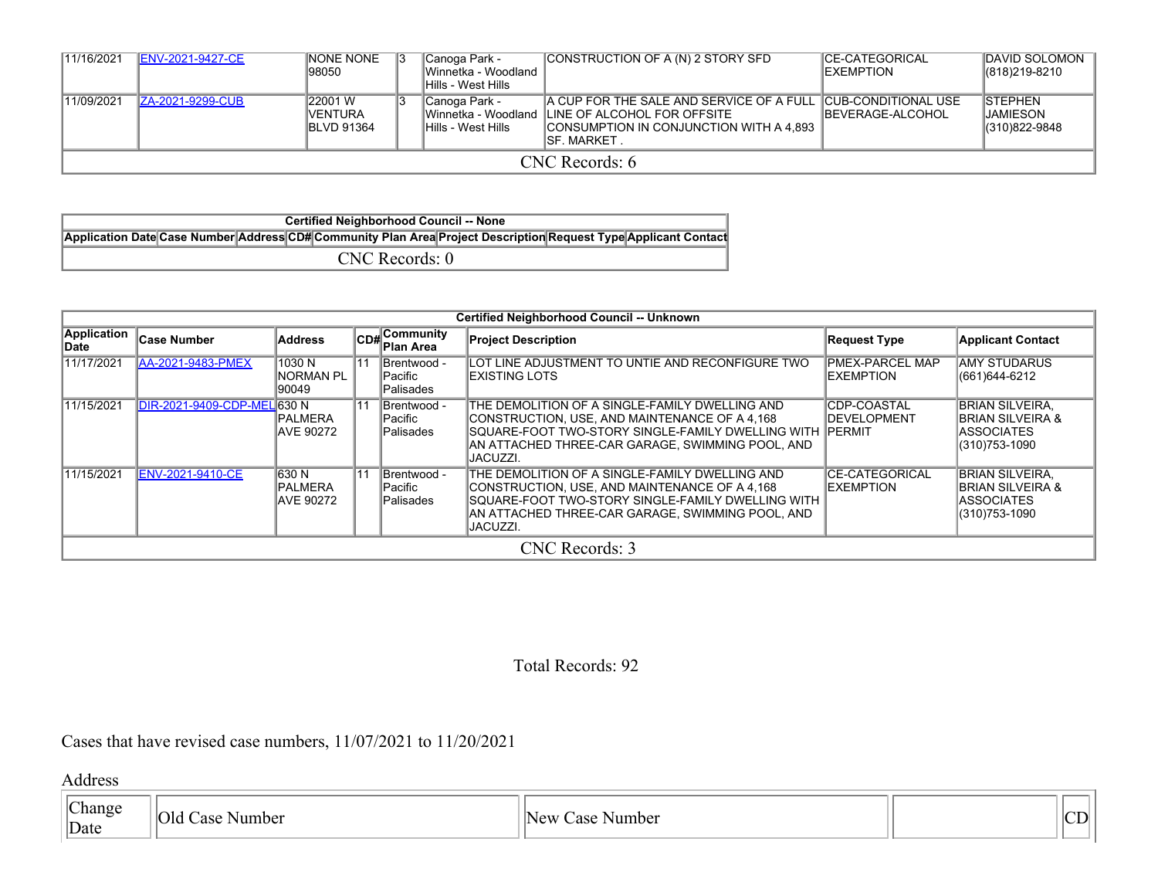| 11/16/2021     | <b>ENV-2021-9427-CE</b> | <b>NONE NONE</b><br>198050                       |  | Canoga Park -<br>Winnetka - Woodland<br>lHills - West Hills | CONSTRUCTION OF A (N) 2 STORY SFD                                                                                                                                         | <b>ICE-CATEGORICAL</b><br><b>IEXEMPTION</b> | <b>DAVID SOLOMON</b><br>$ (818)219-8210$            |  |
|----------------|-------------------------|--------------------------------------------------|--|-------------------------------------------------------------|---------------------------------------------------------------------------------------------------------------------------------------------------------------------------|---------------------------------------------|-----------------------------------------------------|--|
| 11/09/2021     | <b>ZA-2021-9299-CUB</b> | 22001 W<br><b>IVENTURA</b><br><b>IBLVD 91364</b> |  | Canoga Park -<br>lHills - West Hills                        | A CUP FOR THE SALE AND SERVICE OF A FULL CUB-CONDITIONAL USE<br>Winnetka - Woodland LLINE OF ALCOHOL FOR OFFSITE<br>CONSUMPTION IN CONJUNCTION WITH A 4.893<br>ISF MARKET | BEVERAGE-ALCOHOL                            | <b>ISTEPHEN</b><br><b>JAMIESON</b><br>(310)822-9848 |  |
| CNC Records: 6 |                         |                                                  |  |                                                             |                                                                                                                                                                           |                                             |                                                     |  |

| <b>Certified Neighborhood Council -- None</b>                                                                   |  |  |  |  |
|-----------------------------------------------------------------------------------------------------------------|--|--|--|--|
| Application Date Case Number Address CD# Community Plan Area Project Description Request Type Applicant Contact |  |  |  |  |
| CNC Records: 0                                                                                                  |  |  |  |  |

| <b>Certified Neighborhood Council -- Unknown</b> |                             |                                |  |                                       |                                                                                                                                                                                                                                 |                                             |                                                                                               |
|--------------------------------------------------|-----------------------------|--------------------------------|--|---------------------------------------|---------------------------------------------------------------------------------------------------------------------------------------------------------------------------------------------------------------------------------|---------------------------------------------|-----------------------------------------------------------------------------------------------|
| Application<br>lDate                             | <b>Case Number</b>          | <b>Address</b>                 |  | CD#Community<br>∣Plan Area            | <b>Project Description</b>                                                                                                                                                                                                      | Request Type                                | <b>Applicant Contact</b>                                                                      |
| 11/17/2021                                       | AA-2021-9483-PMEX           | 1030 N<br>INORMAN PL<br>90049  |  | Brentwood -<br>Pacific<br> Palisades  | LOT LINE ADJUSTMENT TO UNTIE AND RECONFIGURE TWO<br>EXISTING LOTS                                                                                                                                                               | <b>PMEX-PARCEL MAP</b><br><b>IEXEMPTION</b> | <b>AMY STUDARUS</b><br>(661)644-6212                                                          |
| 11/15/2021                                       | DIR-2021-9409-CDP-MEL 630 N | PALMERA<br>AVE 90272           |  | Brentwood -<br>Pacific<br> Palisades  | THE DEMOLITION OF A SINGLE-FAMILY DWELLING AND<br>CONSTRUCTION, USE, AND MAINTENANCE OF A 4,168<br> SQUARE-FOOT TWO-STORY SINGLE-FAMILY DWELLING WITH   PERMIT<br>IAN ATTACHED THREE-CAR GARAGE. SWIMMING POOL. AND<br>JACUZZI. | <b>CDP-COASTAL</b><br><b>IDEVELOPMENT</b>   | IBRIAN SILVEIRA.<br>BRIAN SILVEIRA &<br><b>ASSOCIATES</b><br>(310) 753-1090                   |
| 11/15/2021                                       | ENV-2021-9410-CE            | 630 N<br>PALMERA<br>IAVE 90272 |  | IBrentwood -<br>Pacific<br>lPalisades | THE DEMOLITION OF A SINGLE-FAMILY DWELLING AND<br>CONSTRUCTION, USE, AND MAINTENANCE OF A 4,168<br>SQUARE-FOOT TWO-STORY SINGLE-FAMILY DWELLING WITH<br>AN ATTACHED THREE-CAR GARAGE, SWIMMING POOL, AND<br>JACUZZI.            | <b>CE-CATEGORICAL</b><br><b>IEXEMPTION</b>  | <b>BRIAN SILVEIRA.</b><br><b>IBRIAN SILVEIRA &amp;</b><br><b>IASSOCIATES</b><br>(310)753-1090 |
| CNC Records: 3                                   |                             |                                |  |                                       |                                                                                                                                                                                                                                 |                                             |                                                                                               |

Total Records: 92

Cases that have revised case numbers, 11/07/2021 to 11/20/2021

Address

| :hano | $\overline{O}$<br>`aso | 'ററാ<br>Number<br>$-21$ |  |
|-------|------------------------|-------------------------|--|
| Date  | …                      |                         |  |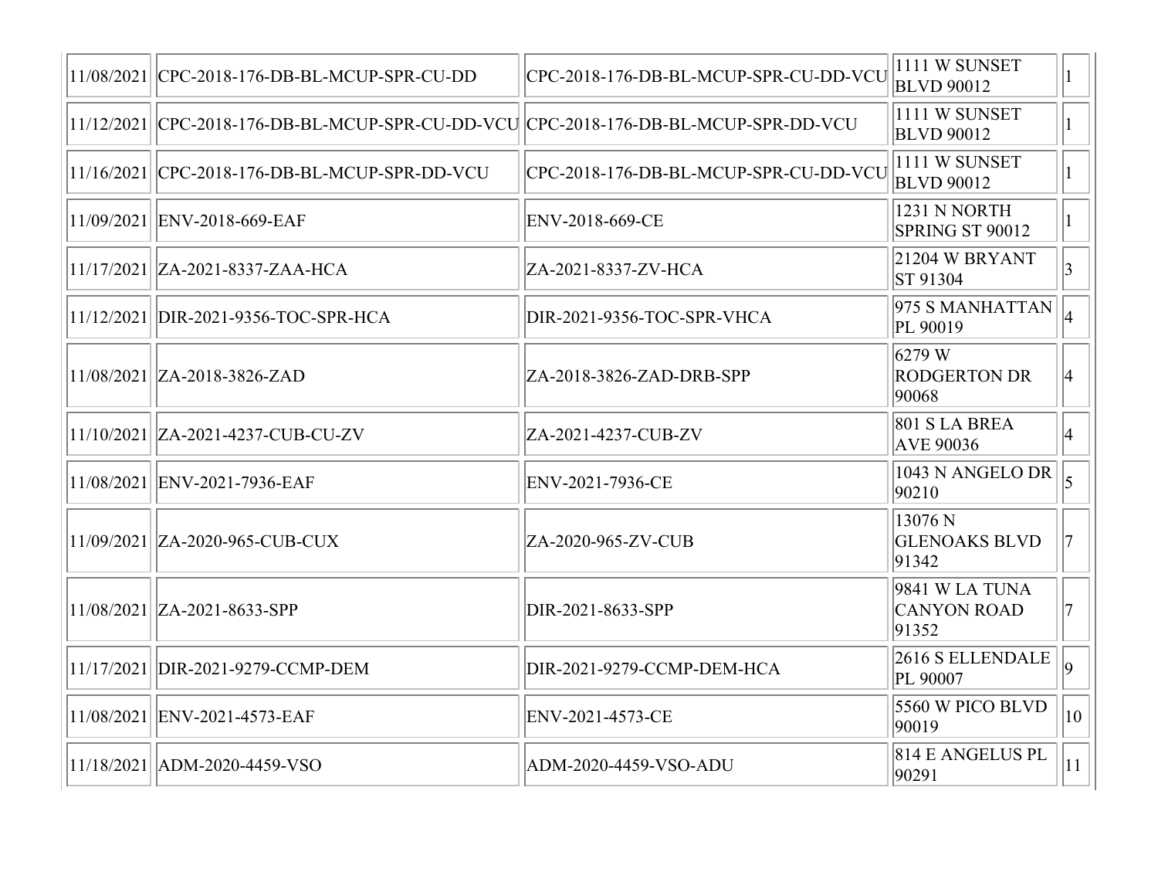| 11/08/2021   CPC-2018-176-DB-BL-MCUP-SPR-CU-DD                                        | CPC-2018-176-DB-BL-MCUP-SPR-CU-DD-VCU | 1111 W SUNSET<br><b>BLVD 90012</b>            |                |
|---------------------------------------------------------------------------------------|---------------------------------------|-----------------------------------------------|----------------|
| 11/12/2021  CPC-2018-176-DB-BL-MCUP-SPR-CU-DD-VCU  CPC-2018-176-DB-BL-MCUP-SPR-DD-VCU |                                       | 1111 W SUNSET<br><b>BLVD 90012</b>            |                |
| 11/16/2021 CPC-2018-176-DB-BL-MCUP-SPR-DD-VCU                                         | CPC-2018-176-DB-BL-MCUP-SPR-CU-DD-VCU | 1111 W SUNSET<br><b>BLVD 90012</b>            |                |
| 11/09/2021 ENV-2018-669-EAF                                                           | ENV-2018-669-CE                       | 1231 N NORTH<br>SPRING ST 90012               |                |
| 11/17/2021   ZA-2021-8337-ZAA-HCA                                                     | ZA-2021-8337-ZV-HCA                   | 21204 W BRYANT<br>ST 91304                    |                |
| 11/12/2021 DIR-2021-9356-TOC-SPR-HCA                                                  | DIR-2021-9356-TOC-SPR-VHCA            | 975 S MANHATTAN<br>PL 90019                   |                |
| $11/08/2021$ $ ZA-2018-3826-ZAD$                                                      | ZA-2018-3826-ZAD-DRB-SPP              | $6279$ W<br><b>RODGERTON DR</b><br>90068      | 14             |
| 11/10/2021  ZA-2021-4237-CUB-CU-ZV                                                    | ZA-2021-4237-CUB-ZV                   | <b>801 S LA BREA</b><br><b>AVE 90036</b>      | 14             |
| 11/08/2021 ENV-2021-7936-EAF                                                          | ENV-2021-7936-CE                      | 1043 N ANGELO DR<br>90210                     |                |
| 11/09/2021 ZA-2020-965-CUB-CUX                                                        | ZA-2020-965-ZV-CUB                    | 13076 N<br><b>GLENOAKS BLVD</b><br>91342      |                |
| $11/08/2021$   ZA-2021-8633-SPP                                                       | DIR-2021-8633-SPP                     | 9841 W LA TUNA<br><b>CANYON ROAD</b><br>91352 |                |
| 11/17/2021 DIR-2021-9279-CCMP-DEM                                                     | DIR-2021-9279-CCMP-DEM-HCA            | 2616 S ELLENDALE<br>PL 90007                  | $\overline{a}$ |
| 11/08/2021  ENV-2021-4573-EAF                                                         | ENV-2021-4573-CE                      | 5560 W PICO BLVD<br>90019                     | $ 10\rangle$   |
| 11/18/2021   ADM-2020-4459-VSO                                                        | ADM-2020-4459-VSO-ADU                 | 814 E ANGELUS PL<br>90291                     | $ 11\rangle$   |